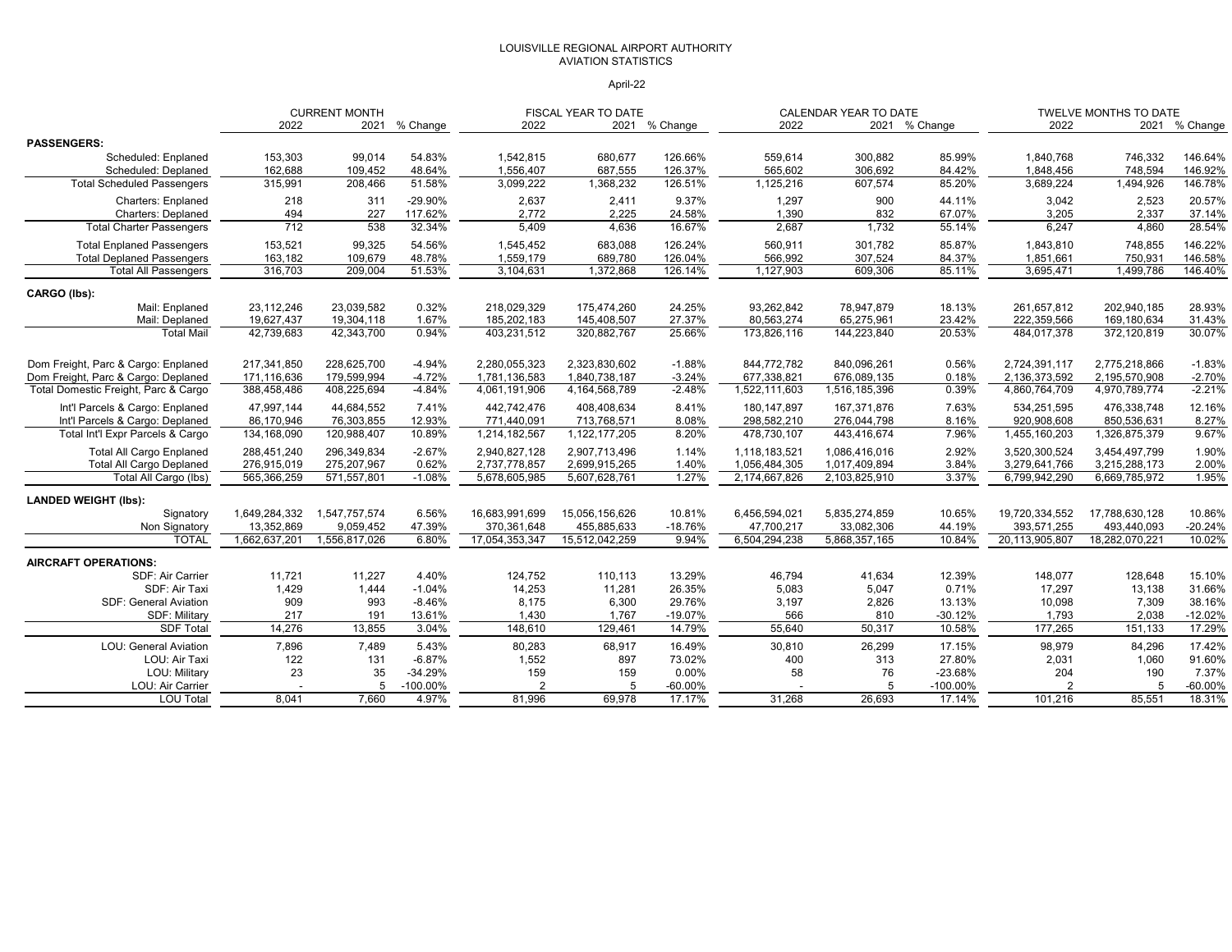#### LOUISVILLE REGIONAL AIRPORT AUTHORITY AVIATION STATISTICS

#### April-22

|                                      | <b>CURRENT MONTH</b>        |                            |                 |                               | <b>FISCAL YEAR TO DATE</b>    |                    |                             | CALENDAR YEAR TO DATE       |                  |                               | <b>TWELVE MONTHS TO DATE</b>  |                     |
|--------------------------------------|-----------------------------|----------------------------|-----------------|-------------------------------|-------------------------------|--------------------|-----------------------------|-----------------------------|------------------|-------------------------------|-------------------------------|---------------------|
|                                      | 2022                        | 2021                       | % Change        | 2022                          |                               | 2021 % Change      | 2022                        |                             | 2021 % Change    | 2022                          | 2021                          | % Change            |
| <b>PASSENGERS:</b>                   |                             |                            |                 |                               |                               |                    |                             |                             |                  |                               |                               |                     |
| Scheduled: Enplaned                  | 153,303                     | 99,014                     | 54.83%          | 1,542,815                     | 680,677                       | 126.66%            | 559,614                     | 300,882                     | 85.99%           | 1,840,768                     | 746,332                       | 146.64%             |
| Scheduled: Deplaned                  | 162,688                     | 109,452                    | 48.64%          | 1,556,407                     | 687,555                       | 126.37%            | 565,602                     | 306,692                     | 84.42%           | 1,848,456                     | 748,594                       | 146.92%             |
| <b>Total Scheduled Passengers</b>    | 315,991                     | 208,466                    | 51.58%          | 3,099,222                     | 1,368,232                     | 126.51%            | 1,125,216                   | 607,574                     | 85.20%           | 3,689,224                     | 1,494,926                     | 146.78%             |
| Charters: Enplaned                   | 218                         | 311                        | -29.90%         | 2,637                         | 2,411                         | 9.37%              | 1,297                       | 900                         | 44.11%           | 3,042                         | 2,523                         | 20.57%              |
| <b>Charters: Deplaned</b>            | 494                         | 227                        | 117.62%         | 2,772                         | 2,225                         | 24.58%             | 1,390                       | 832                         | 67.07%           | 3,205                         | 2,337                         | 37.14%              |
| <b>Total Charter Passengers</b>      | 712                         | 538                        | 32.34%          | 5,409                         | 4,636                         | 16.67%             | 2,687                       | 1,732                       | 55.14%           | 6,247                         | 4,860                         | 28.54%              |
| <b>Total Enplaned Passengers</b>     | 153,521                     | 99,325                     | 54.56%          | 1,545,452                     | 683,088                       | 126.24%            | 560,911                     | 301,782                     | 85.87%           | 1,843,810                     | 748,855                       | 146.22%             |
| <b>Total Deplaned Passengers</b>     | 163,182                     | 109,679                    | 48.78%          | 1,559,179                     | 689,780                       | 126.04%            | 566,992                     | 307,524                     | 84.37%           | 1,851,661                     | 750,931                       | 146.58%             |
| <b>Total All Passengers</b>          | 316,703                     | 209,004                    | 51.53%          | 3,104,631                     | 1,372,868                     | 126.14%            | 1,127,903                   | 609,306                     | 85.11%           | 3,695,471                     | 1,499,786                     | 146.40%             |
| CARGO (lbs):                         |                             |                            |                 |                               |                               |                    |                             |                             |                  |                               |                               |                     |
| Mail: Enplaned                       | 23,112,246                  | 23,039,582                 | 0.32%           | 218,029,329                   | 175,474,260                   | 24.25%             | 93,262,842                  | 78,947,879                  | 18.13%           | 261,657,812                   | 202,940,185                   | 28.93%              |
| Mail: Deplaned                       | 19,627,437                  | 19,304,118                 | 1.67%           | 185,202,183                   | 145,408,507                   | 27.37%             | 80,563,274                  | 65,275,961                  | 23.42%           | 222,359,566                   | 169,180,634                   | 31.43%              |
| <b>Total Mail</b>                    | 42,739,683                  | 42,343,700                 | 0.94%           | 403,231,512                   | 320,882,767                   | 25.66%             | 173,826,116                 | 144,223,840                 | 20.53%           | 484,017,378                   | 372,120,819                   | 30.07%              |
| Dom Freight, Parc & Cargo: Enplaned  | 217,341,850                 | 228,625,700                | $-4.94%$        | 2,280,055,323                 | 2,323,830,602                 | $-1.88%$           | 844,772,782                 | 840,096,261                 | 0.56%            | 2,724,391,117                 | 2,775,218,866                 | $-1.83%$            |
| Dom Freight, Parc & Cargo: Deplaned  | 171,116,636                 | 179,599,994                | $-4.72%$        | 1,781,136,583                 | 1,840,738,187                 | $-3.24%$           | 677,338,821                 | 676,089,135                 | 0.18%            | 2,136,373,592                 | 2,195,570,908                 | $-2.70%$            |
| Total Domestic Freight, Parc & Cargo | 388,458,486                 | 408,225,694                | $-4.84%$        | 4,061,191,906                 | 4,164,568,789                 | $-2.48%$           | 1,522,111,603               | 1,516,185,396               | 0.39%            | 4,860,764,709                 | 4,970,789,774                 | $-2.21%$            |
| Int'l Parcels & Cargo: Enplaned      | 47,997,144                  | 44,684,552                 | 7.41%           | 442,742,476                   | 408,408,634                   | 8.41%              | 180, 147, 897               | 167,371,876                 | 7.63%            | 534,251,595                   | 476,338,748                   | 12.16%              |
| Int'l Parcels & Cargo: Deplaned      | 86,170,946                  | 76,303,855                 | 12.93%          | 771,440,091                   | 713,768,571                   | 8.08%              | 298,582,210                 | 276,044,798                 | 8.16%            | 920,908,608                   | 850,536,631                   | 8.27%               |
| Total Int'l Expr Parcels & Cargo     | 134,168,090                 | 120,988,407                | 10.89%          | 1,214,182,567                 | 1,122,177,205                 | 8.20%              | 478,730,107                 | 443,416,674                 | 7.96%            | 1,455,160,203                 | 1,326,875,379                 | 9.67%               |
| <b>Total All Cargo Enplaned</b>      | 288,451,240                 | 296,349,834                | $-2.67%$        | 2,940,827,128                 | 2,907,713,496                 | 1.14%              | 1,118,183,521               | 1,086,416,016               | 2.92%            | 3,520,300,524                 | 3,454,497,799                 | 1.90%               |
| <b>Total All Cargo Deplaned</b>      | 276,915,019                 | 275,207,967                | 0.62%           | 2,737,778,857                 | 2,699,915,265                 | 1.40%              | 1,056,484,305               | 1,017,409,894               | 3.84%            | 3,279,641,766                 | 3,215,288,173                 | 2.00%               |
| Total All Cargo (lbs)                | 565,366,259                 | 571,557,801                | $-1.08%$        | 5,678,605,985                 | 5,607,628,761                 | 1.27%              | 2,174,667,826               | 2,103,825,910               | 3.37%            | 6,799,942,290                 | 6,669,785,972                 | 1.95%               |
|                                      |                             |                            |                 |                               |                               |                    |                             |                             |                  |                               |                               |                     |
| <b>LANDED WEIGHT (Ibs):</b>          |                             |                            |                 |                               |                               |                    |                             |                             |                  |                               |                               |                     |
| Signatory                            | 1,649,284,332               | 1,547,757,574              | 6.56%           | 16,683,991,699                | 15,056,156,626                | 10.81%             | 6,456,594,021               | 5,835,274,859               | 10.65%           | 19,720,334,552                | 17,788,630,128                | 10.86%              |
| Non Signatory<br><b>TOTAL</b>        | 13,352,869<br>1,662,637,201 | 9,059,452<br>1,556,817,026 | 47.39%<br>6.80% | 370,361,648<br>17,054,353,347 | 455,885,633<br>15,512,042,259 | $-18.76%$<br>9.94% | 47,700,217<br>6,504,294,238 | 33,082,306<br>5,868,357,165 | 44.19%<br>10.84% | 393,571,255<br>20,113,905,807 | 493,440,093<br>18,282,070,221 | $-20.24%$<br>10.02% |
|                                      |                             |                            |                 |                               |                               |                    |                             |                             |                  |                               |                               |                     |
| <b>AIRCRAFT OPERATIONS:</b>          |                             |                            |                 |                               |                               |                    |                             |                             |                  |                               |                               |                     |
| SDF: Air Carrier                     | 11,721                      | 11,227                     | 4.40%           | 124,752                       | 110,113                       | 13.29%             | 46,794                      | 41,634                      | 12.39%           | 148,077                       | 128,648                       | 15.10%              |
| SDF: Air Taxi                        | 1,429                       | 1,444                      | $-1.04%$        | 14,253                        | 11,281                        | 26.35%             | 5,083                       | 5,047                       | 0.71%            | 17,297                        | 13,138                        | 31.66%              |
| <b>SDF: General Aviation</b>         | 909                         | 993                        | $-8.46%$        | 8,175                         | 6,300                         | 29.76%             | 3,197                       | 2,826                       | 13.13%           | 10,098                        | 7,309                         | 38.16%              |
| SDF: Military                        | 217                         | 191                        | 13.61%          | 1,430                         | 1,767                         | $-19.07%$          | 566                         | 810                         | $-30.12%$        | 1,793                         | 2,038                         | $-12.02%$           |
| <b>SDF Total</b>                     | 14,276                      | 13,855                     | 3.04%           | 148,610                       | 129,461                       | 14.79%             | 55,640                      | 50,317                      | 10.58%           | 177,265                       | 151,133                       | 17.29%              |
| <b>LOU: General Aviation</b>         | 7,896                       | 7,489                      | 5.43%           | 80,283                        | 68,917                        | 16.49%             | 30,810                      | 26,299                      | 17.15%           | 98,979                        | 84,296                        | 17.42%              |
| LOU: Air Taxi                        | 122                         | 131                        | $-6.87%$        | 1,552                         | 897                           | 73.02%             | 400                         | 313                         | 27.80%           | 2,031                         | 1,060                         | 91.60%              |
| LOU: Military                        | 23                          | 35                         | $-34.29%$       | 159                           | 159                           | 0.00%              | 58                          | 76                          | $-23.68%$        | 204                           | 190                           | 7.37%               |
| LOU: Air Carrier                     |                             | 5                          | $-100.00%$      |                               | 5                             | $-60.00%$          |                             |                             | -100.00%         |                               | 5                             | $-60.00%$           |
| <b>LOU Total</b>                     | 8.041                       | 7.660                      | 4.97%           | 81,996                        | 69.978                        | 17.17%             | 31.268                      | 26.693                      | 17.14%           | 101,216                       | 85,551                        | 18.31%              |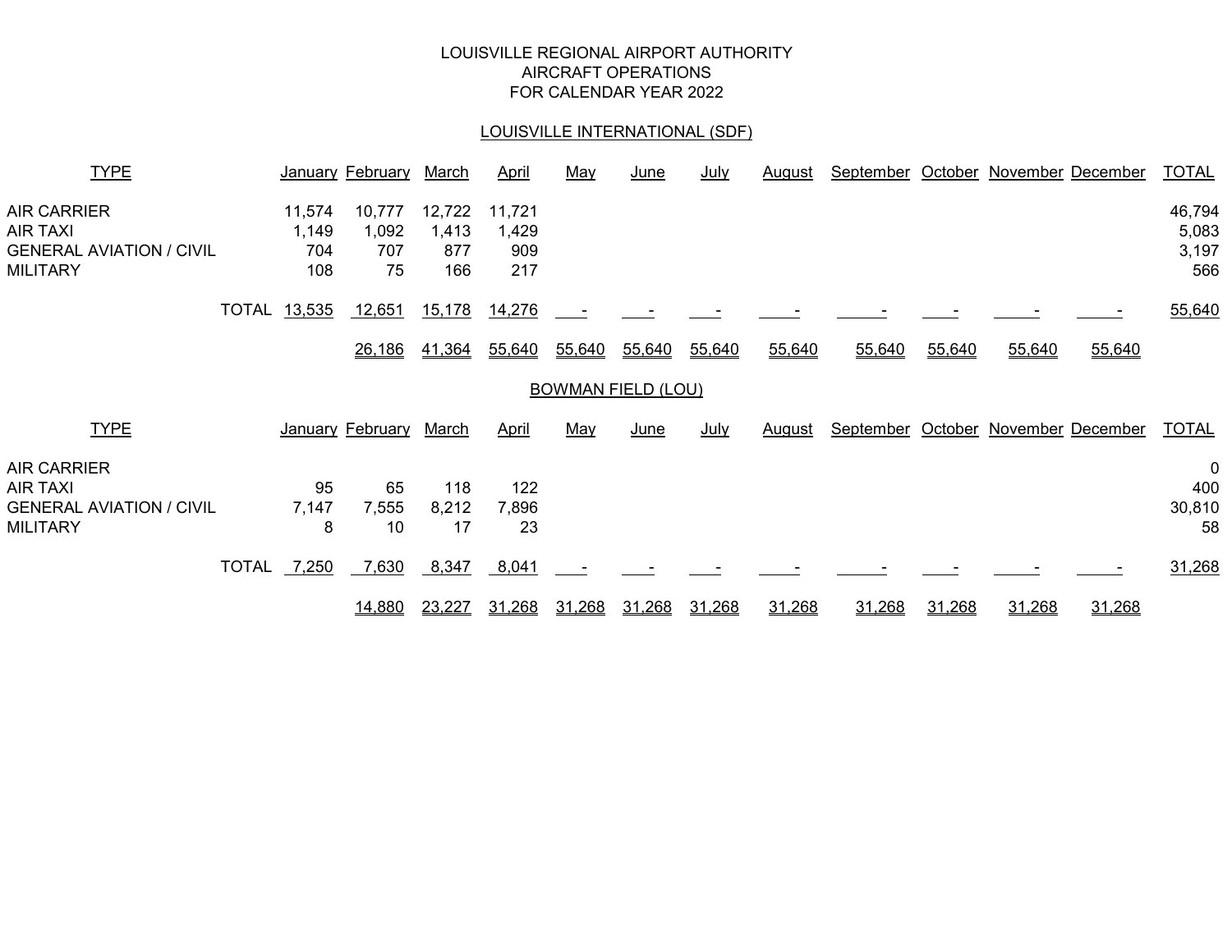# LOUISVILLE REGIONAL AIRPORT AUTHORITY AIRCRAFT OPERATIONS FOR CALENDAR YEAR 2022

# LOUISVILLE INTERNATIONAL (SDF)

| <b>TYPE</b>                                                                          |                     |                               | January February             | March                         | <b>April</b>                  | May    | <u>June</u>               | <u>July</u> | <u>August</u> | September | October | November December         |        | <b>TOTAL</b>                       |
|--------------------------------------------------------------------------------------|---------------------|-------------------------------|------------------------------|-------------------------------|-------------------------------|--------|---------------------------|-------------|---------------|-----------|---------|---------------------------|--------|------------------------------------|
| AIR CARRIER<br>AIR TAXI<br><b>GENERAL AVIATION / CIVIL</b><br><b>MILITARY</b>        |                     | 11,574<br>1,149<br>704<br>108 | 10,777<br>1,092<br>707<br>75 | 12,722<br>1,413<br>877<br>166 | 11,721<br>1,429<br>909<br>217 |        |                           |             |               |           |         |                           |        | 46,794<br>5,083<br>3,197<br>566    |
|                                                                                      | <b>TOTAL 13,535</b> |                               | 12,651                       | 15,178                        | 14,276                        |        |                           |             |               |           |         |                           |        | 55,640                             |
|                                                                                      |                     |                               | 26,186                       | 41,364                        | 55,640                        | 55,640 | 55,640                    | 55,640      | 55,640        | 55,640    | 55,640  | 55,640                    | 55,640 |                                    |
|                                                                                      |                     |                               |                              |                               |                               |        | <b>BOWMAN FIELD (LOU)</b> |             |               |           |         |                           |        |                                    |
| <b>TYPE</b>                                                                          |                     |                               | January February             | March                         | <b>April</b>                  | May    | <u>June</u>               | <u>July</u> | <u>August</u> | September |         | October November December |        | <b>TOTAL</b>                       |
| <b>AIR CARRIER</b><br>AIR TAXI<br><b>GENERAL AVIATION / CIVIL</b><br><b>MILITARY</b> |                     | 95<br>7,147<br>8              | 65<br>7,555<br>10            | 118<br>8,212<br>17            | 122<br>7,896<br>23            |        |                           |             |               |           |         |                           |        | $\mathbf 0$<br>400<br>30,810<br>58 |
|                                                                                      | <b>TOTAL</b>        | 7,250                         | 7,630                        | 8,347                         | 8,041                         |        |                           |             |               |           |         |                           |        | 31,268                             |
|                                                                                      |                     |                               | 14,880                       | 23,227                        | 31,268                        | 31.268 | 31,268                    | 31,268      | 31,268        | 31,268    | 31,268  | 31,268                    | 31,268 |                                    |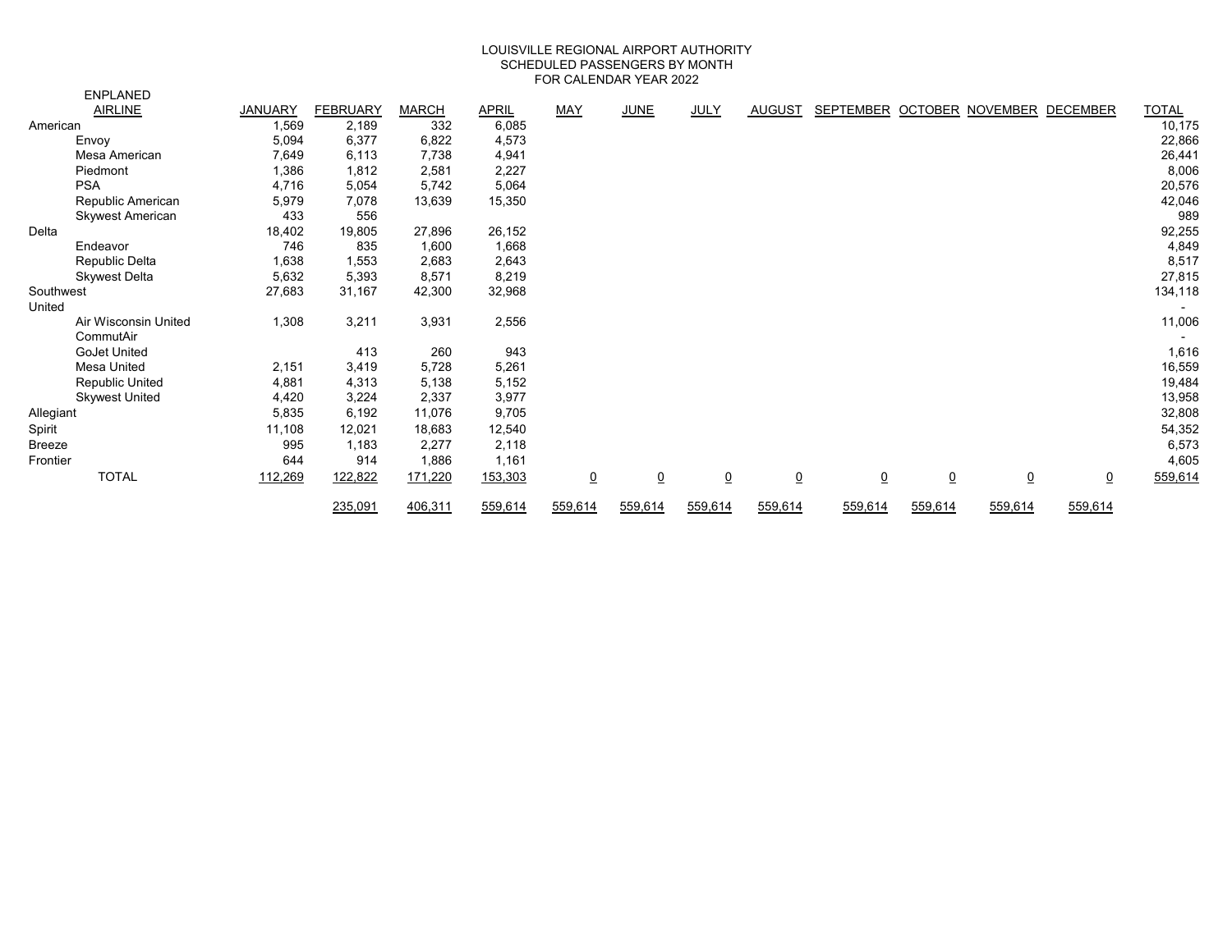#### LOUISVILLE REGIONAL AIRPORT AUTHORITY SCHEDULED PASSENGERS BY MONTH FOR CALENDAR YEAR 2022

|               | <b>ENPLANED</b>       |                |                 |              |         |                |                 |                 |                |                 |                |                           |                |              |
|---------------|-----------------------|----------------|-----------------|--------------|---------|----------------|-----------------|-----------------|----------------|-----------------|----------------|---------------------------|----------------|--------------|
|               | <b>AIRLINE</b>        | <b>JANUARY</b> | <b>FEBRUARY</b> | <b>MARCH</b> | APRIL   | MAY            | <b>JUNE</b>     | <b>JULY</b>     | <b>AUGUST</b>  | SEPTEMBER       |                | OCTOBER NOVEMBER DECEMBER |                | <b>TOTAL</b> |
| American      |                       | 1,569          | 2,189           | 332          | 6,085   |                |                 |                 |                |                 |                |                           |                | 10,175       |
|               | Envoy                 | 5,094          | 6,377           | 6,822        | 4,573   |                |                 |                 |                |                 |                |                           |                | 22,866       |
|               | Mesa American         | 7,649          | 6,113           | 7,738        | 4,941   |                |                 |                 |                |                 |                |                           |                | 26,441       |
|               | Piedmont              | 1,386          | 1,812           | 2,581        | 2,227   |                |                 |                 |                |                 |                |                           |                | 8,006        |
|               | <b>PSA</b>            | 4,716          | 5,054           | 5,742        | 5,064   |                |                 |                 |                |                 |                |                           |                | 20,576       |
|               | Republic American     | 5,979          | 7,078           | 13,639       | 15,350  |                |                 |                 |                |                 |                |                           |                | 42,046       |
|               | Skywest American      | 433            | 556             |              |         |                |                 |                 |                |                 |                |                           |                | 989          |
| Delta         |                       | 18,402         | 19,805          | 27,896       | 26,152  |                |                 |                 |                |                 |                |                           |                | 92,255       |
|               | Endeavor              | 746            | 835             | 1,600        | 1,668   |                |                 |                 |                |                 |                |                           |                | 4,849        |
|               | Republic Delta        | 1,638          | 1,553           | 2,683        | 2,643   |                |                 |                 |                |                 |                |                           |                | 8,517        |
|               | <b>Skywest Delta</b>  | 5,632          | 5,393           | 8,571        | 8,219   |                |                 |                 |                |                 |                |                           |                | 27,815       |
| Southwest     |                       | 27,683         | 31,167          | 42,300       | 32,968  |                |                 |                 |                |                 |                |                           |                | 134,118      |
| United        |                       |                |                 |              |         |                |                 |                 |                |                 |                |                           |                |              |
|               | Air Wisconsin United  | 1,308          | 3,211           | 3,931        | 2,556   |                |                 |                 |                |                 |                |                           |                | 11,006       |
|               | CommutAir             |                |                 |              |         |                |                 |                 |                |                 |                |                           |                |              |
|               | <b>GoJet United</b>   |                | 413             | 260          | 943     |                |                 |                 |                |                 |                |                           |                | 1,616        |
|               | Mesa United           | 2,151          | 3,419           | 5,728        | 5,261   |                |                 |                 |                |                 |                |                           |                | 16,559       |
|               | Republic United       | 4,881          | 4,313           | 5,138        | 5,152   |                |                 |                 |                |                 |                |                           |                | 19,484       |
|               | <b>Skywest United</b> | 4,420          | 3,224           | 2,337        | 3,977   |                |                 |                 |                |                 |                |                           |                | 13,958       |
| Allegiant     |                       | 5,835          | 6,192           | 11,076       | 9,705   |                |                 |                 |                |                 |                |                           |                | 32,808       |
| Spirit        |                       | 11,108         | 12,021          | 18,683       | 12,540  |                |                 |                 |                |                 |                |                           |                | 54,352       |
| <b>Breeze</b> |                       | 995            | 1,183           | 2,277        | 2,118   |                |                 |                 |                |                 |                |                           |                | 6,573        |
| Frontier      |                       | 644            | 914             | 1,886        | 1,161   |                |                 |                 |                |                 |                |                           |                | 4,605        |
|               | <b>TOTAL</b>          | 112,269        | 122,822         | 171,220      | 153,303 | $\overline{0}$ | $\underline{0}$ | $\underline{0}$ | $\overline{0}$ | $\underline{0}$ | $\overline{0}$ | $\overline{0}$            | $\overline{0}$ | 559,614      |
|               |                       |                | 235,091         | 406,311      | 559,614 | 559,614        | 559,614         | 559,614         | 559,614        | 559,614         | 559,614        | 559,614                   | 559,614        |              |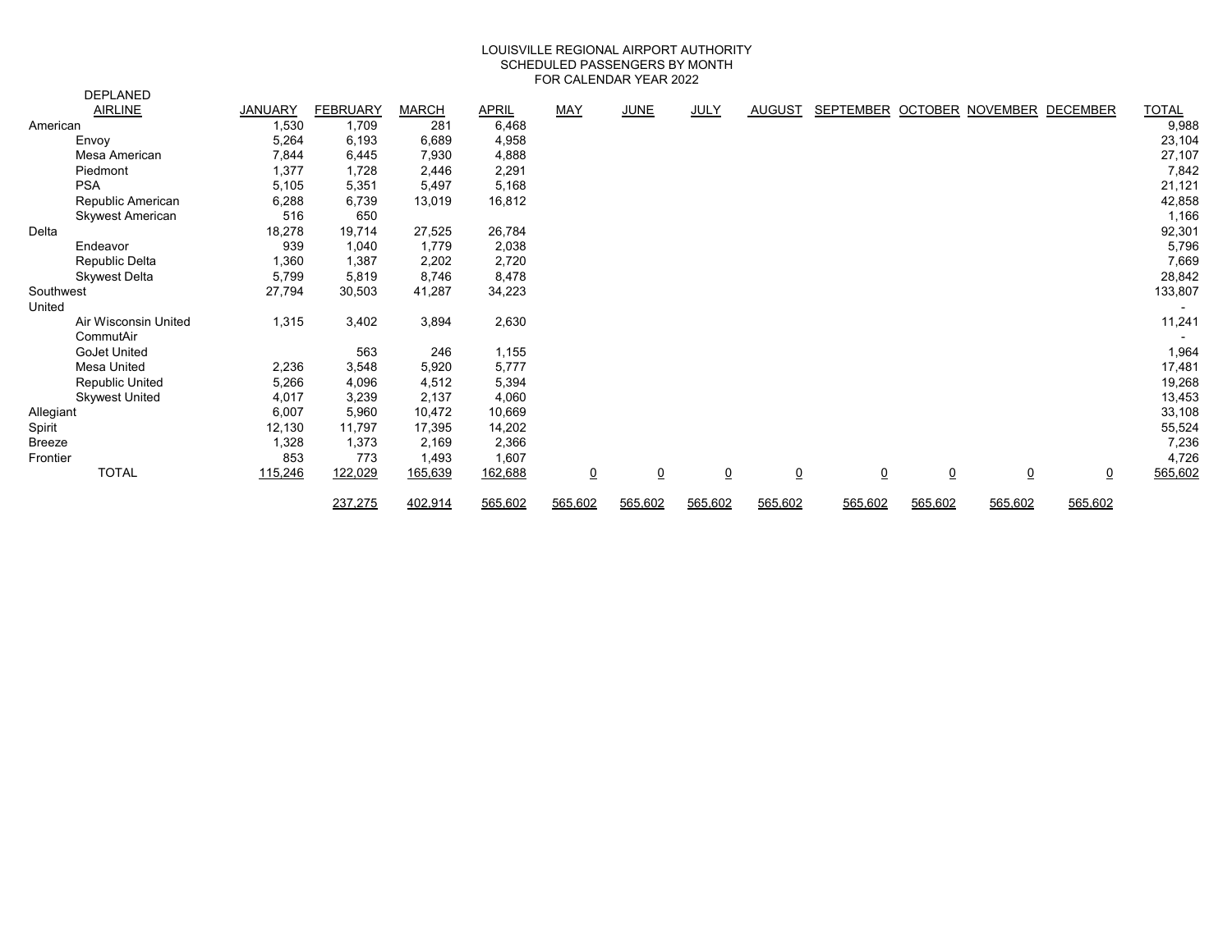#### FOR CALENDAR YEAR 2022 LOUISVILLE REGIONAL AIRPORT AUTHORITY SCHEDULED PASSENGERS BY MONTH

|               | <b>DEPLANED</b>         |                |                 |              |              |                 |                |                 |                 |                                     |                |           |                |              |
|---------------|-------------------------|----------------|-----------------|--------------|--------------|-----------------|----------------|-----------------|-----------------|-------------------------------------|----------------|-----------|----------------|--------------|
|               | <b>AIRLINE</b>          | <b>JANUARY</b> | <b>FEBRUARY</b> | <b>MARCH</b> | <b>APRIL</b> | MAY             | <b>JUNE</b>    | JULY            | AUGUST          | SEPTEMBER OCTOBER NOVEMBER DECEMBER |                |           |                | <b>TOTAL</b> |
| American      |                         | 1,530          | 1,709           | 281          | 6,468        |                 |                |                 |                 |                                     |                |           |                | 9,988        |
|               | Envoy                   | 5,264          | 6,193           | 6,689        | 4,958        |                 |                |                 |                 |                                     |                |           |                | 23,104       |
|               | Mesa American           | 7,844          | 6,445           | 7,930        | 4,888        |                 |                |                 |                 |                                     |                |           |                | 27,107       |
|               | Piedmont                | 1,377          | 1,728           | 2,446        | 2,291        |                 |                |                 |                 |                                     |                |           |                | 7,842        |
|               | <b>PSA</b>              | 5,105          | 5,351           | 5,497        | 5,168        |                 |                |                 |                 |                                     |                |           |                | 21,121       |
|               | Republic American       | 6,288          | 6,739           | 13,019       | 16,812       |                 |                |                 |                 |                                     |                |           |                | 42,858       |
|               | <b>Skywest American</b> | 516            | 650             |              |              |                 |                |                 |                 |                                     |                |           |                | 1,166        |
| Delta         |                         | 18,278         | 19,714          | 27,525       | 26,784       |                 |                |                 |                 |                                     |                |           |                | 92,301       |
|               | Endeavor                | 939            | 1,040           | 1,779        | 2,038        |                 |                |                 |                 |                                     |                |           |                | 5,796        |
|               | Republic Delta          | 1,360          | 1,387           | 2,202        | 2,720        |                 |                |                 |                 |                                     |                |           |                | 7,669        |
|               | <b>Skywest Delta</b>    | 5,799          | 5,819           | 8,746        | 8,478        |                 |                |                 |                 |                                     |                |           |                | 28,842       |
| Southwest     |                         | 27,794         | 30,503          | 41,287       | 34,223       |                 |                |                 |                 |                                     |                |           |                | 133,807      |
| United        |                         |                |                 |              |              |                 |                |                 |                 |                                     |                |           |                |              |
|               | Air Wisconsin United    | 1,315          | 3,402           | 3,894        | 2,630        |                 |                |                 |                 |                                     |                |           |                | 11,241       |
|               | CommutAir               |                |                 |              |              |                 |                |                 |                 |                                     |                |           |                |              |
|               | GoJet United            |                | 563             | 246          | 1,155        |                 |                |                 |                 |                                     |                |           |                | 1,964        |
|               | Mesa United             | 2,236          | 3,548           | 5,920        | 5,777        |                 |                |                 |                 |                                     |                |           |                | 17,481       |
|               | Republic United         | 5,266          | 4,096           | 4,512        | 5,394        |                 |                |                 |                 |                                     |                |           |                | 19,268       |
|               | <b>Skywest United</b>   | 4,017          | 3,239           | 2,137        | 4,060        |                 |                |                 |                 |                                     |                |           |                | 13,453       |
| Allegiant     |                         | 6,007          | 5,960           | 10,472       | 10,669       |                 |                |                 |                 |                                     |                |           |                | 33,108       |
| Spirit        |                         | 12,130         | 11,797          | 17,395       | 14,202       |                 |                |                 |                 |                                     |                |           |                | 55,524       |
| <b>Breeze</b> |                         | 1,328          | 1,373           | 2,169        | 2,366        |                 |                |                 |                 |                                     |                |           |                | 7,236        |
| Frontier      |                         | 853            | 773             | 1,493        | 1,607        |                 |                |                 |                 |                                     |                |           |                | 4,726        |
|               | <b>TOTAL</b>            | 115,246        | 122,029         | 165,639      | 162,688      | $\underline{0}$ | $\overline{0}$ | $\underline{0}$ | $\underline{0}$ | $\overline{0}$                      | $\overline{0}$ | $\pmb{0}$ | $\overline{0}$ | 565,602      |
|               |                         |                | 237,275         | 402,914      | 565,602      | 565,602         | 565,602        | 565,602         | 565,602         | 565,602                             | 565,602        | 565,602   | 565,602        |              |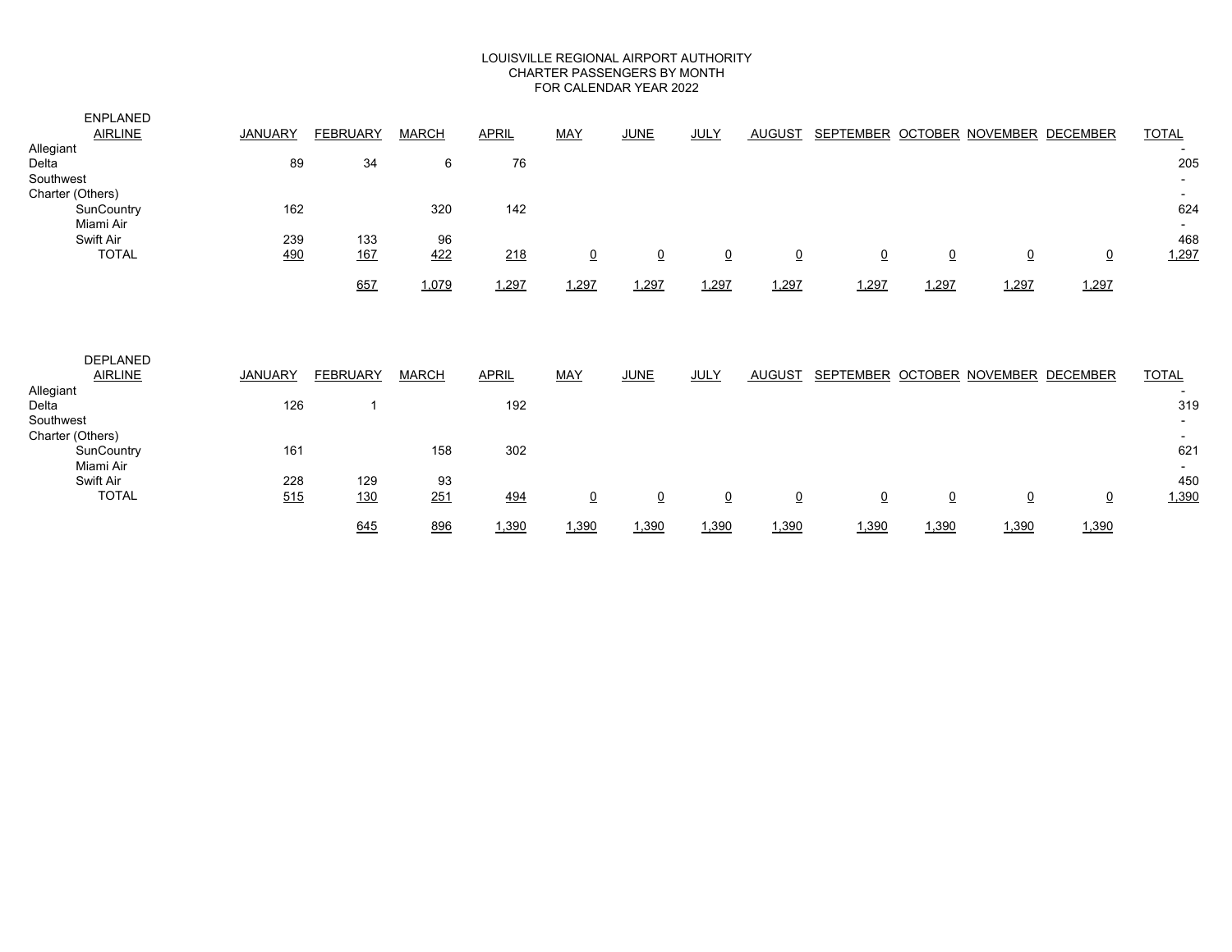#### LOUISVILLE REGIONAL AIRPORT AUTHORITY CHARTER PASSENGERS BY MONTH FOR CALENDAR YEAR 2022

| <b>ENPLANED</b><br><b>AIRLINE</b><br>Allegiant<br>Delta | <b>JANUARY</b><br>89 | <b>FEBRUARY</b><br>34 | <b>MARCH</b><br>6 | <b>APRIL</b><br>76 | <b>MAY</b>              | <b>JUNE</b>     | <b>JULY</b>     | <b>AUGUST</b>  | SEPTEMBER OCTOBER NOVEMBER DECEMBER |                 |                |                | <b>TOTAL</b><br>205 |
|---------------------------------------------------------|----------------------|-----------------------|-------------------|--------------------|-------------------------|-----------------|-----------------|----------------|-------------------------------------|-----------------|----------------|----------------|---------------------|
| Southwest<br>Charter (Others)<br>SunCountry             | 162                  |                       | 320               | 142                |                         |                 |                 |                |                                     |                 |                |                | 624                 |
| Miami Air<br>Swift Air<br><b>TOTAL</b>                  | 239<br>490           | 133<br><u>167</u>     | 96<br>422         | 218                | $\overline{\mathbf{0}}$ | $\overline{0}$  | $\underline{0}$ | <u>0</u>       | $\underline{0}$                     | $\overline{0}$  | $\overline{0}$ | $\overline{0}$ | 468<br>1,297        |
|                                                         |                      | 657                   | 1,079             | 1,297              | 1,297                   | 1,297           | 1,297           | 1,297          | 1,297                               | 1,297           | 1,297          | 1,297          |                     |
| <b>DEPLANED</b><br><b>AIRLINE</b><br>Allegiant          | <b>JANUARY</b>       | <b>FEBRUARY</b>       | <b>MARCH</b>      | <b>APRIL</b>       | <b>MAY</b>              | <b>JUNE</b>     | <b>JULY</b>     | <b>AUGUST</b>  | SEPTEMBER OCTOBER NOVEMBER DECEMBER |                 |                |                | <b>TOTAL</b>        |
| Delta<br>Southwest<br>Charter (Others)                  | 126                  | 1                     |                   | 192                |                         |                 |                 |                |                                     |                 |                |                | 319                 |
| SunCountry<br>Miami Air                                 | 161                  |                       | 158               | 302                |                         |                 |                 |                |                                     |                 |                |                | 621                 |
| Swift Air<br><b>TOTAL</b>                               | 228<br>515           | 129<br><u>130</u>     | 93<br>251         | 494                | $\underline{0}$         | $\underline{0}$ | $\underline{0}$ | $\overline{0}$ | $\underline{0}$                     | $\underline{0}$ | $\pmb{0}$      | $\overline{0}$ | 450<br>1,390        |
|                                                         |                      | 645                   | 896               | 1,390              | 1,390                   | 1,390           | 1,390           | 1,390          | 1,390                               | 1,390           | 1,390          | 1,390          |                     |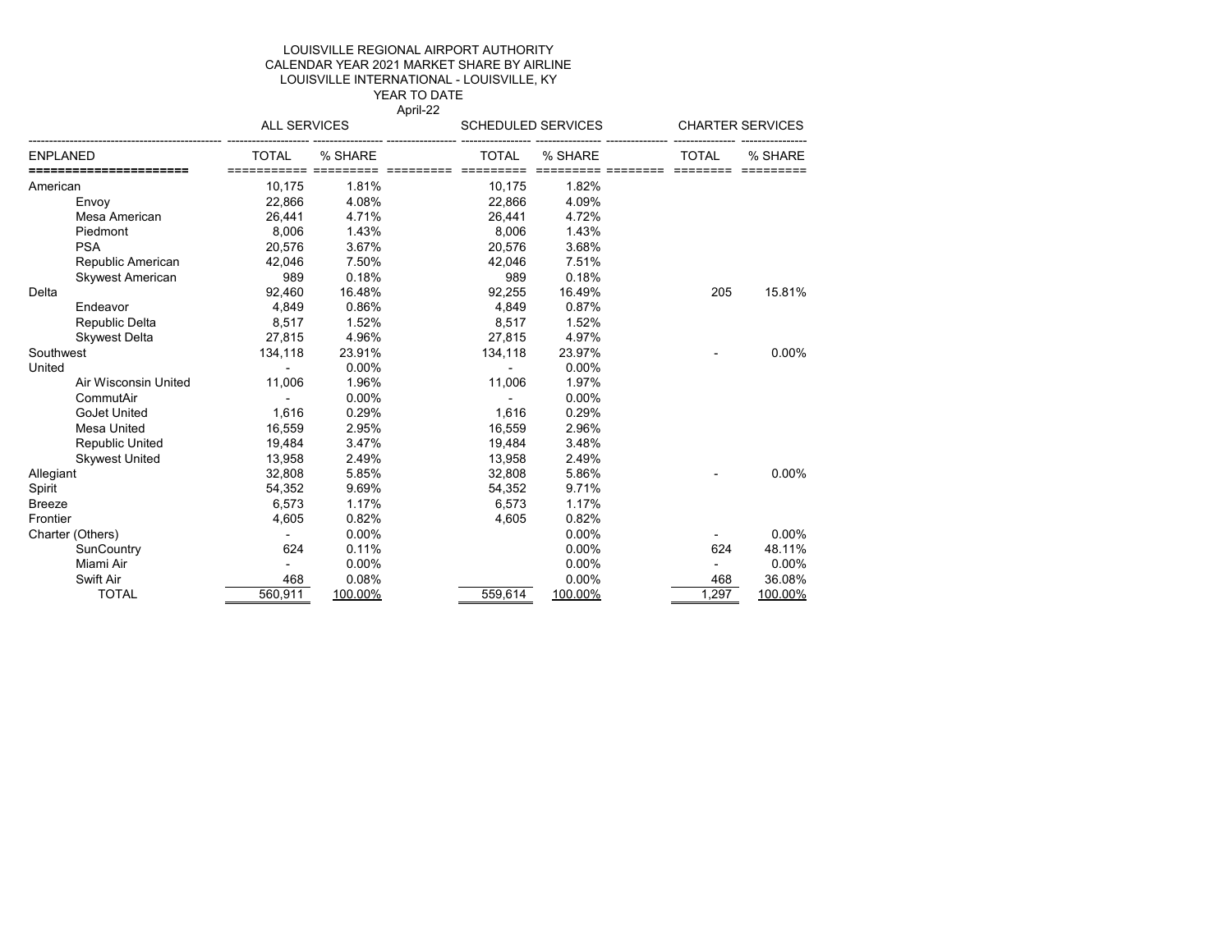#### YEAR TO DATE LOUISVILLE INTERNATIONAL - LOUISVILLE, KY LOUISVILLE REGIONAL AIRPORT AUTHORITY CALENDAR YEAR 2021 MARKET SHARE BY AIRLINE

April-22

|                         | ALL SERVICES      |          | SCHEDULED SERVICES        |          | <b>CHARTER SERVICES</b> |          |
|-------------------------|-------------------|----------|---------------------------|----------|-------------------------|----------|
| ENPLANED                | TOTAL<br>======== | % SHARE  | <b>TOTAL</b><br>========= | % SHARE  | <b>TOTAL</b>            | % SHARE  |
| American                | 10,175            | 1.81%    | 10,175                    | 1.82%    |                         |          |
| Envoy                   | 22,866            | 4.08%    | 22,866                    | 4.09%    |                         |          |
| Mesa American           | 26,441            | 4.71%    | 26,441                    | 4.72%    |                         |          |
| Piedmont                | 8,006             | 1.43%    | 8,006                     | 1.43%    |                         |          |
| <b>PSA</b>              | 20.576            | 3.67%    | 20,576                    | 3.68%    |                         |          |
| Republic American       | 42,046            | 7.50%    | 42,046                    | 7.51%    |                         |          |
| <b>Skywest American</b> | 989               | 0.18%    | 989                       | 0.18%    |                         |          |
| Delta                   | 92,460            | 16.48%   | 92,255                    | 16.49%   | 205                     | 15.81%   |
| Endeavor                | 4,849             | 0.86%    | 4,849                     | 0.87%    |                         |          |
| Republic Delta          | 8,517             | 1.52%    | 8,517                     | 1.52%    |                         |          |
| <b>Skywest Delta</b>    | 27,815            | 4.96%    | 27,815                    | 4.97%    |                         |          |
| Southwest               | 134,118           | 23.91%   | 134,118                   | 23.97%   |                         | 0.00%    |
| United                  |                   | $0.00\%$ |                           | $0.00\%$ |                         |          |
| Air Wisconsin United    | 11,006            | 1.96%    | 11,006                    | 1.97%    |                         |          |
| CommutAir               |                   | 0.00%    |                           | 0.00%    |                         |          |
| <b>GoJet United</b>     | 1,616             | 0.29%    | 1,616                     | 0.29%    |                         |          |
| Mesa United             | 16,559            | 2.95%    | 16,559                    | 2.96%    |                         |          |
| <b>Republic United</b>  | 19,484            | 3.47%    | 19,484                    | 3.48%    |                         |          |
| <b>Skywest United</b>   | 13,958            | 2.49%    | 13,958                    | 2.49%    |                         |          |
| Allegiant               | 32,808            | 5.85%    | 32,808                    | 5.86%    |                         | 0.00%    |
| Spirit                  | 54,352            | 9.69%    | 54,352                    | 9.71%    |                         |          |
| Breeze                  | 6,573             | 1.17%    | 6,573                     | 1.17%    |                         |          |
| Frontier                | 4,605             | 0.82%    | 4,605                     | 0.82%    |                         |          |
| Charter (Others)        |                   | $0.00\%$ |                           | $0.00\%$ |                         | $0.00\%$ |
| SunCountry              | 624               | 0.11%    |                           | $0.00\%$ | 624                     | 48.11%   |
| Miami Air               |                   | 0.00%    |                           | 0.00%    |                         | 0.00%    |
| Swift Air               | 468               | 0.08%    |                           | 0.00%    | 468                     | 36.08%   |
| <b>TOTAL</b>            | 560,911           | 100.00%  | 559,614                   | 100.00%  | 1,297                   | 100.00%  |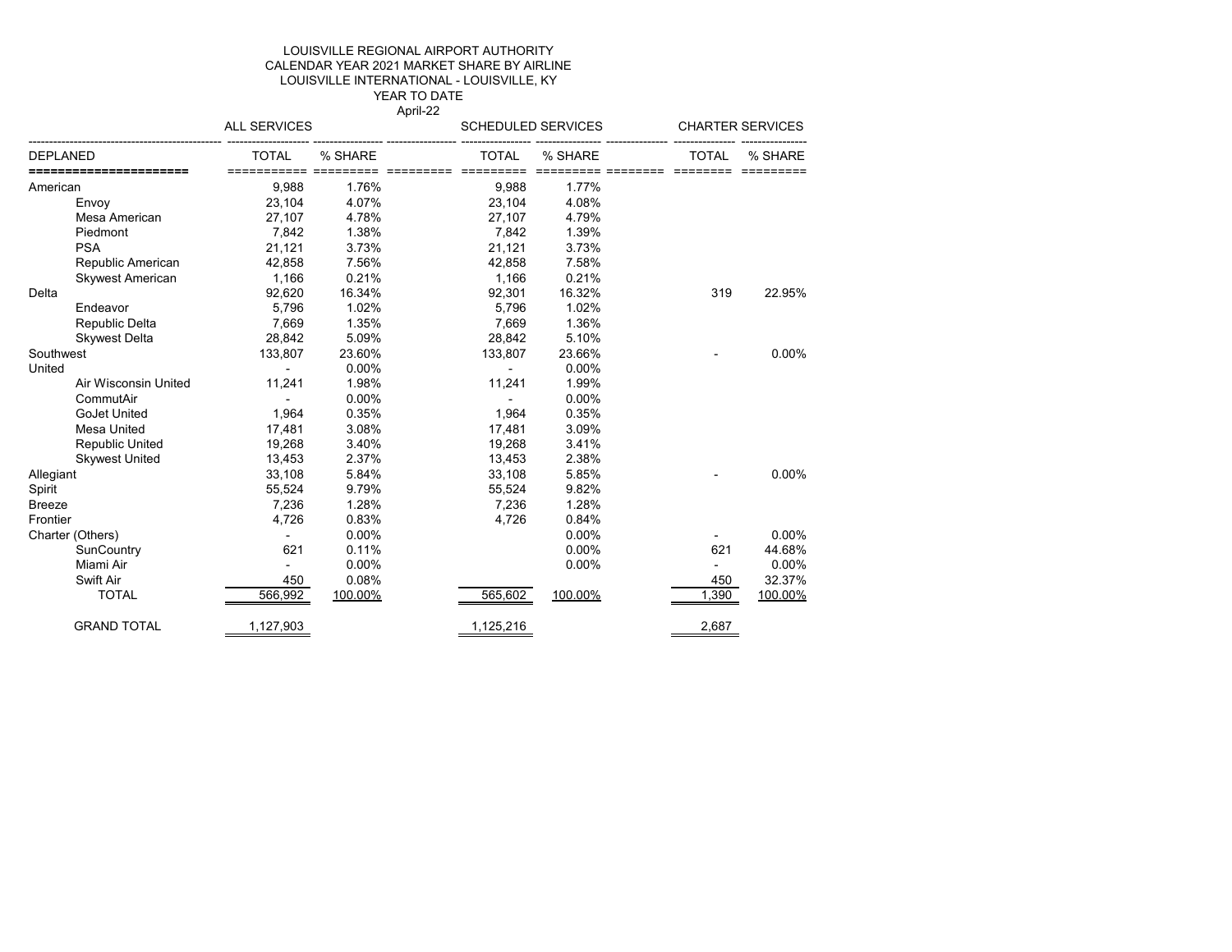#### LOUISVILLE REGIONAL AIRPORT AUTHORITY CALENDAR YEAR 2021 MARKET SHARE BY AIRLINE LOUISVILLE INTERNATIONAL - LOUISVILLE, KY YEAR TO DATE

April-22

|           |                         | <b>ALL SERVICES</b> |         | <b>SCHEDULED SERVICES</b> |         | <b>CHARTER SERVICES</b> |          |
|-----------|-------------------------|---------------------|---------|---------------------------|---------|-------------------------|----------|
| DEPLANED  |                         | <b>TOTAL</b>        | % SHARE | <b>TOTAL</b>              | % SHARE | <b>TOTAL</b>            | % SHARE  |
| American  |                         | 9,988               | 1.76%   | 9,988                     | 1.77%   |                         |          |
|           | Envoy                   | 23,104              | 4.07%   | 23,104                    | 4.08%   |                         |          |
|           | Mesa American           | 27,107              | 4.78%   | 27,107                    | 4.79%   |                         |          |
|           | Piedmont                | 7,842               | 1.38%   | 7,842                     | 1.39%   |                         |          |
|           | <b>PSA</b>              | 21,121              | 3.73%   | 21,121                    | 3.73%   |                         |          |
|           | Republic American       | 42,858              | 7.56%   | 42,858                    | 7.58%   |                         |          |
|           | <b>Skywest American</b> | 1,166               | 0.21%   | 1,166                     | 0.21%   |                         |          |
| Delta     |                         | 92,620              | 16.34%  | 92,301                    | 16.32%  | 319                     | 22.95%   |
|           | Endeavor                | 5,796               | 1.02%   | 5,796                     | 1.02%   |                         |          |
|           | Republic Delta          | 7,669               | 1.35%   | 7,669                     | 1.36%   |                         |          |
|           | <b>Skywest Delta</b>    | 28,842              | 5.09%   | 28,842                    | 5.10%   |                         |          |
| Southwest |                         | 133,807             | 23.60%  | 133,807                   | 23.66%  |                         | $0.00\%$ |
| United    |                         |                     | 0.00%   |                           | 0.00%   |                         |          |
|           | Air Wisconsin United    | 11,241              | 1.98%   | 11,241                    | 1.99%   |                         |          |
|           | CommutAir               |                     | 0.00%   |                           | 0.00%   |                         |          |
|           | GoJet United            | 1,964               | 0.35%   | 1,964                     | 0.35%   |                         |          |
|           | Mesa United             | 17,481              | 3.08%   | 17,481                    | 3.09%   |                         |          |
|           | Republic United         | 19,268              | 3.40%   | 19,268                    | 3.41%   |                         |          |
|           | <b>Skywest United</b>   | 13,453              | 2.37%   | 13,453                    | 2.38%   |                         |          |
| Allegiant |                         | 33,108              | 5.84%   | 33,108                    | 5.85%   |                         | $0.00\%$ |
| Spirit    |                         | 55,524              | 9.79%   | 55,524                    | 9.82%   |                         |          |
| Breeze    |                         | 7,236               | 1.28%   | 7,236                     | 1.28%   |                         |          |
| Frontier  |                         | 4,726               | 0.83%   | 4,726                     | 0.84%   |                         |          |
|           | Charter (Others)        |                     | 0.00%   |                           | 0.00%   |                         | $0.00\%$ |
|           | SunCountry              | 621                 | 0.11%   |                           | 0.00%   | 621                     | 44.68%   |
|           | Miami Air               |                     | 0.00%   |                           | 0.00%   |                         | 0.00%    |
|           | Swift Air               | 450                 | 0.08%   |                           |         | 450                     | 32.37%   |
|           | <b>TOTAL</b>            | 566,992             | 100.00% | 565,602                   | 100.00% | 1,390                   | 100.00%  |
|           | <b>GRAND TOTAL</b>      | 1,127,903           |         | 1,125,216                 |         | 2,687                   |          |
|           |                         |                     |         |                           |         |                         |          |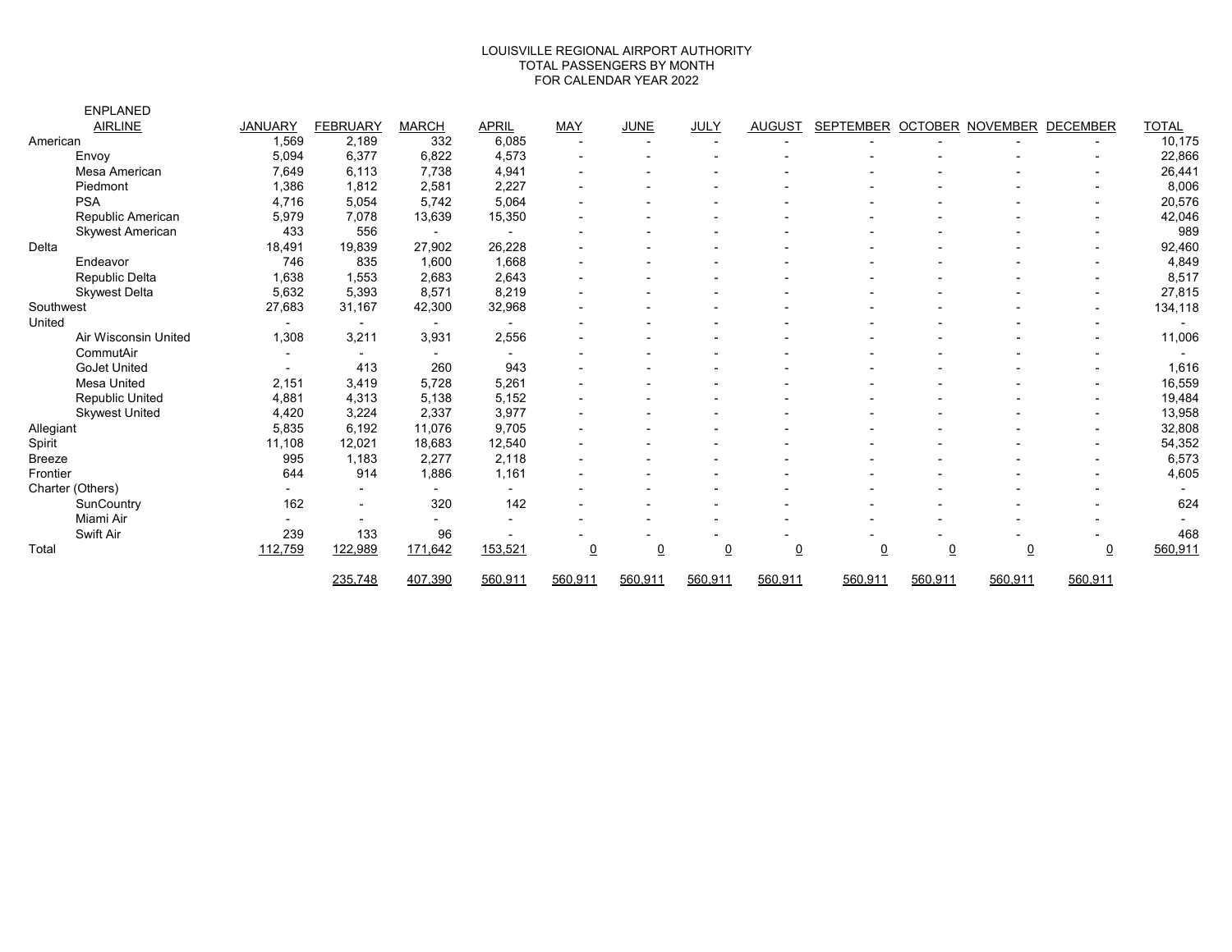#### TOTAL PASSENGERS BY MONTH FOR CALENDAR YEAR 2022 LOUISVILLE REGIONAL AIRPORT AUTHORITY

|           | <b>ENPLANED</b>         |                          |                          |                          |                          |            |                 |                |                |                  |                |                  |                          |                          |
|-----------|-------------------------|--------------------------|--------------------------|--------------------------|--------------------------|------------|-----------------|----------------|----------------|------------------|----------------|------------------|--------------------------|--------------------------|
|           | <b>AIRLINE</b>          | <b>JANUARY</b>           | <b>FEBRUARY</b>          | <b>MARCH</b>             | <b>APRIL</b>             | <b>MAY</b> | <b>JUNE</b>     | <b>JULY</b>    | <b>AUGUST</b>  | <b>SEPTEMBER</b> |                | OCTOBER NOVEMBER | DECEMBER                 | <b>TOTAL</b>             |
| American  |                         | 1,569                    | 2,189                    | 332                      | 6,085                    |            |                 |                |                |                  |                |                  |                          | 10,175                   |
|           | Envoy                   | 5,094                    | 6,377                    | 6,822                    | 4,573                    |            |                 |                |                |                  |                |                  |                          | 22,866                   |
|           | Mesa American           | 7,649                    | 6,113                    | 7,738                    | 4,941                    |            |                 |                |                |                  |                |                  |                          | 26,441                   |
|           | Piedmont                | 1,386                    | 1,812                    | 2,581                    | 2,227                    |            |                 |                |                |                  |                |                  |                          | 8,006                    |
|           | <b>PSA</b>              | 4,716                    | 5,054                    | 5,742                    | 5,064                    |            |                 |                |                |                  |                |                  |                          | 20,576                   |
|           | Republic American       | 5,979                    | 7,078                    | 13,639                   | 15,350                   |            |                 |                |                |                  |                |                  |                          | 42,046                   |
|           | <b>Skywest American</b> | 433                      | 556                      | $\blacksquare$           | $\blacksquare$           |            |                 |                |                |                  |                |                  | $\blacksquare$           | 989                      |
| Delta     |                         | 18,491                   | 19,839                   | 27,902                   | 26,228                   |            |                 |                |                |                  |                |                  |                          | 92,460                   |
|           | Endeavor                | 746                      | 835                      | 1,600                    | 1,668                    |            |                 |                |                |                  |                |                  |                          | 4,849                    |
|           | Republic Delta          | 1,638                    | 1,553                    | 2,683                    | 2,643                    |            |                 |                |                |                  |                |                  |                          | 8,517                    |
|           | <b>Skywest Delta</b>    | 5,632                    | 5,393                    | 8,571                    | 8,219                    |            |                 |                |                |                  |                |                  |                          | 27,815                   |
| Southwest |                         | 27,683                   | 31,167                   | 42,300                   | 32,968                   |            |                 |                |                |                  |                |                  |                          | 134,118                  |
| United    |                         |                          | $\overline{\phantom{0}}$ | $\blacksquare$           | $\overline{\phantom{0}}$ |            |                 |                |                |                  |                |                  |                          | $\overline{\phantom{0}}$ |
|           | Air Wisconsin United    | 1,308                    | 3,211                    | 3,931                    | 2,556                    |            |                 |                |                |                  |                |                  |                          | 11,006                   |
|           | CommutAir               | $\overline{\phantom{a}}$ | $\blacksquare$           | $\blacksquare$           | $\blacksquare$           |            |                 |                |                |                  |                |                  |                          |                          |
|           | <b>GoJet United</b>     |                          | 413                      | 260                      | 943                      |            |                 |                |                |                  |                |                  |                          | 1,616                    |
|           | <b>Mesa United</b>      | 2,151                    | 3,419                    | 5,728                    | 5,261                    |            |                 |                |                |                  |                |                  |                          | 16,559                   |
|           | Republic United         | 4,881                    | 4,313                    | 5,138                    | 5,152                    |            |                 |                |                |                  |                |                  |                          | 19,484                   |
|           | <b>Skywest United</b>   | 4,420                    | 3,224                    | 2,337                    | 3,977                    |            |                 |                |                |                  |                |                  |                          | 13,958                   |
| Allegiant |                         | 5,835                    | 6,192                    | 11,076                   | 9,705                    |            |                 |                |                |                  |                |                  |                          | 32,808                   |
| Spirit    |                         | 11,108                   | 12,021                   | 18,683                   | 12,540                   |            |                 |                |                |                  |                |                  | $\overline{\phantom{a}}$ | 54,352                   |
| Breeze    |                         | 995                      | 1,183                    | 2,277                    | 2,118                    |            |                 |                |                |                  |                |                  |                          | 6,573                    |
| Frontier  |                         | 644                      | 914                      | 1,886                    | 1,161                    |            |                 |                |                |                  |                |                  |                          | 4,605                    |
|           | Charter (Others)        |                          |                          | $\overline{a}$           | $\overline{\phantom{0}}$ |            |                 |                |                |                  |                |                  |                          |                          |
|           | SunCountry              | 162                      |                          | 320                      | 142                      |            |                 |                |                |                  |                |                  |                          | 624                      |
|           | Miami Air               |                          | $\overline{\phantom{0}}$ | $\overline{\phantom{0}}$ |                          |            |                 |                |                |                  |                |                  |                          |                          |
|           | Swift Air               | 239                      | 133                      | 96                       |                          |            |                 |                |                |                  |                |                  |                          | 468                      |
| Total     |                         | 112,759                  | 122,989                  | 171,642                  | 153,521                  | <u>0</u>   | $\underline{0}$ | $\overline{0}$ | $\overline{0}$ | $\overline{0}$   | $\overline{0}$ | $\overline{0}$   | $\overline{0}$           | 560,911                  |
|           |                         |                          | 235,748                  | 407,390                  | 560,911                  | 560,911    | 560,911         | 560,911        | 560,911        | 560,911          | 560,911        | 560,911          | 560,911                  |                          |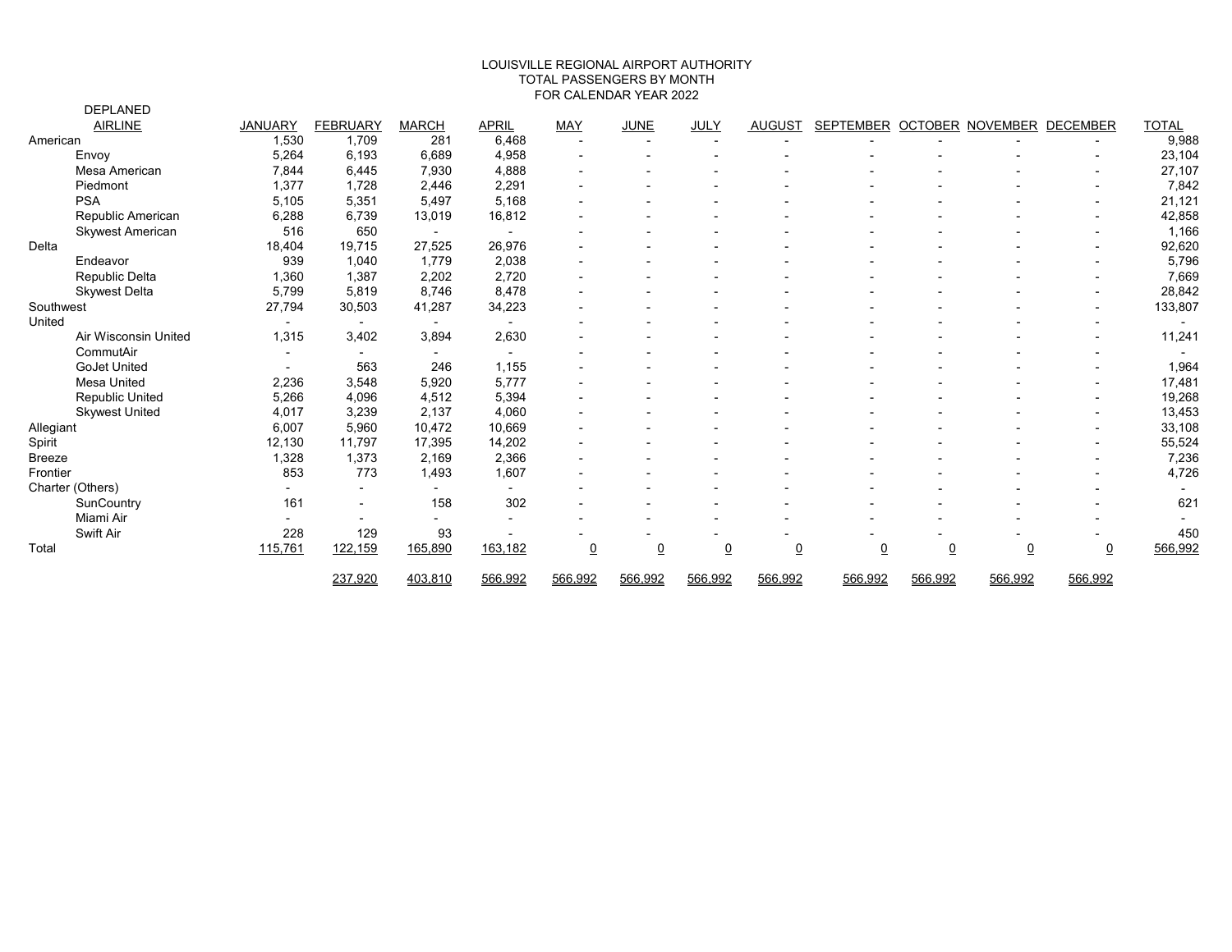#### FOR CALENDAR YEAR 2022 LOUISVILLE REGIONAL AIRPORT AUTHORITY TOTAL PASSENGERS BY MONTH

|           | <b>DEPLANED</b>         |                          |                 |                          |                          |                |                |                |                |                  |                |                         |                |                          |
|-----------|-------------------------|--------------------------|-----------------|--------------------------|--------------------------|----------------|----------------|----------------|----------------|------------------|----------------|-------------------------|----------------|--------------------------|
|           | <b>AIRLINE</b>          | <b>JANUARY</b>           | <b>FEBRUARY</b> | <b>MARCH</b>             | <b>APRIL</b>             | <b>MAY</b>     | <b>JUNE</b>    | JULY           | <b>AUGUST</b>  | <b>SEPTEMBER</b> |                | <b>OCTOBER NOVEMBER</b> | DECEMBER       | <b>TOTAL</b>             |
| American  |                         | 1,530                    | 1,709           | 281                      | 6,468                    |                |                |                |                |                  |                |                         |                | 9,988                    |
|           | Envoy                   | 5,264                    | 6,193           | 6,689                    | 4,958                    |                |                |                |                |                  |                |                         |                | 23,104                   |
|           | Mesa American           | 7,844                    | 6,445           | 7,930                    | 4,888                    |                |                |                |                |                  |                |                         |                | 27,107                   |
|           | Piedmont                | 1,377                    | 1,728           | 2,446                    | 2,291                    |                |                |                |                |                  |                |                         |                | 7,842                    |
|           | <b>PSA</b>              | 5,105                    | 5,351           | 5,497                    | 5,168                    |                |                |                |                |                  |                |                         |                | 21,121                   |
|           | Republic American       | 6,288                    | 6,739           | 13,019                   | 16,812                   |                |                |                |                |                  |                |                         |                | 42,858                   |
|           | <b>Skywest American</b> | 516                      | 650             | $\overline{\phantom{a}}$ |                          |                |                |                |                |                  |                |                         |                | 1,166                    |
| Delta     |                         | 18,404                   | 19,715          | 27,525                   | 26,976                   |                |                |                |                |                  |                |                         |                | 92,620                   |
|           | Endeavor                | 939                      | 1.040           | 1,779                    | 2,038                    |                |                |                |                |                  |                |                         |                | 5,796                    |
|           | Republic Delta          | 1,360                    | 1,387           | 2,202                    | 2,720                    |                |                |                |                |                  |                |                         |                | 7,669                    |
|           | <b>Skywest Delta</b>    | 5,799                    | 5,819           | 8,746                    | 8,478                    |                |                |                |                |                  |                |                         |                | 28,842                   |
| Southwest |                         | 27,794                   | 30,503          | 41,287                   | 34,223                   |                |                |                |                |                  |                |                         |                | 133,807                  |
| United    |                         |                          | $\blacksquare$  | $\sim$                   | $\blacksquare$           |                |                |                |                |                  |                |                         |                | $\overline{\phantom{a}}$ |
|           | Air Wisconsin United    | 1,315                    | 3.402           | 3,894                    | 2,630                    |                |                |                |                |                  |                |                         |                | 11,241                   |
|           | CommutAir               | $\overline{\phantom{a}}$ |                 | $\overline{\phantom{a}}$ | $\overline{\phantom{a}}$ |                |                |                |                |                  |                |                         |                |                          |
|           | <b>GoJet United</b>     |                          | 563             | 246                      | 1,155                    |                |                |                |                |                  |                |                         |                | 1,964                    |
|           | Mesa United             | 2,236                    | 3,548           | 5,920                    | 5,777                    |                |                |                |                |                  |                |                         |                | 17,481                   |
|           | Republic United         | 5,266                    | 4,096           | 4,512                    | 5,394                    |                |                |                |                |                  |                |                         |                | 19,268                   |
|           | <b>Skywest United</b>   | 4,017                    | 3,239           | 2,137                    | 4,060                    |                |                |                |                |                  |                |                         |                | 13,453                   |
| Allegiant |                         | 6,007                    | 5,960           | 10,472                   | 10,669                   |                |                |                |                |                  |                |                         |                | 33,108                   |
| Spirit    |                         | 12,130                   | 11,797          | 17,395                   | 14,202                   |                |                |                |                |                  |                |                         | $\blacksquare$ | 55,524                   |
| Breeze    |                         | 1,328                    | 1,373           | 2,169                    | 2,366                    |                |                |                |                |                  |                |                         |                | 7,236                    |
| Frontier  |                         | 853                      | 773             | 1,493                    | 1,607                    |                |                |                |                |                  |                |                         |                | 4,726                    |
|           | Charter (Others)        |                          |                 | $\overline{\phantom{0}}$ |                          |                |                |                |                |                  |                |                         |                |                          |
|           | SunCountry              | 161                      |                 | 158                      | 302                      |                |                |                |                |                  |                |                         |                | 621                      |
|           | Miami Air               |                          |                 |                          |                          |                |                |                |                |                  |                |                         |                |                          |
|           | Swift Air               | 228                      | 129             | 93                       |                          |                |                |                |                |                  |                |                         |                | 450                      |
| Total     |                         | 115,761                  | 122,159         | 165,890                  | 163,182                  | $\overline{0}$ | $\overline{0}$ | $\overline{0}$ | $\overline{0}$ | $\overline{0}$   | $\overline{0}$ | $\underline{0}$         | $\overline{0}$ | 566,992                  |
|           |                         |                          | 237,920         | 403,810                  | 566,992                  | 566,992        | 566,992        | 566,992        | 566,992        | 566,992          | 566,992        | 566,992                 | 566,992        |                          |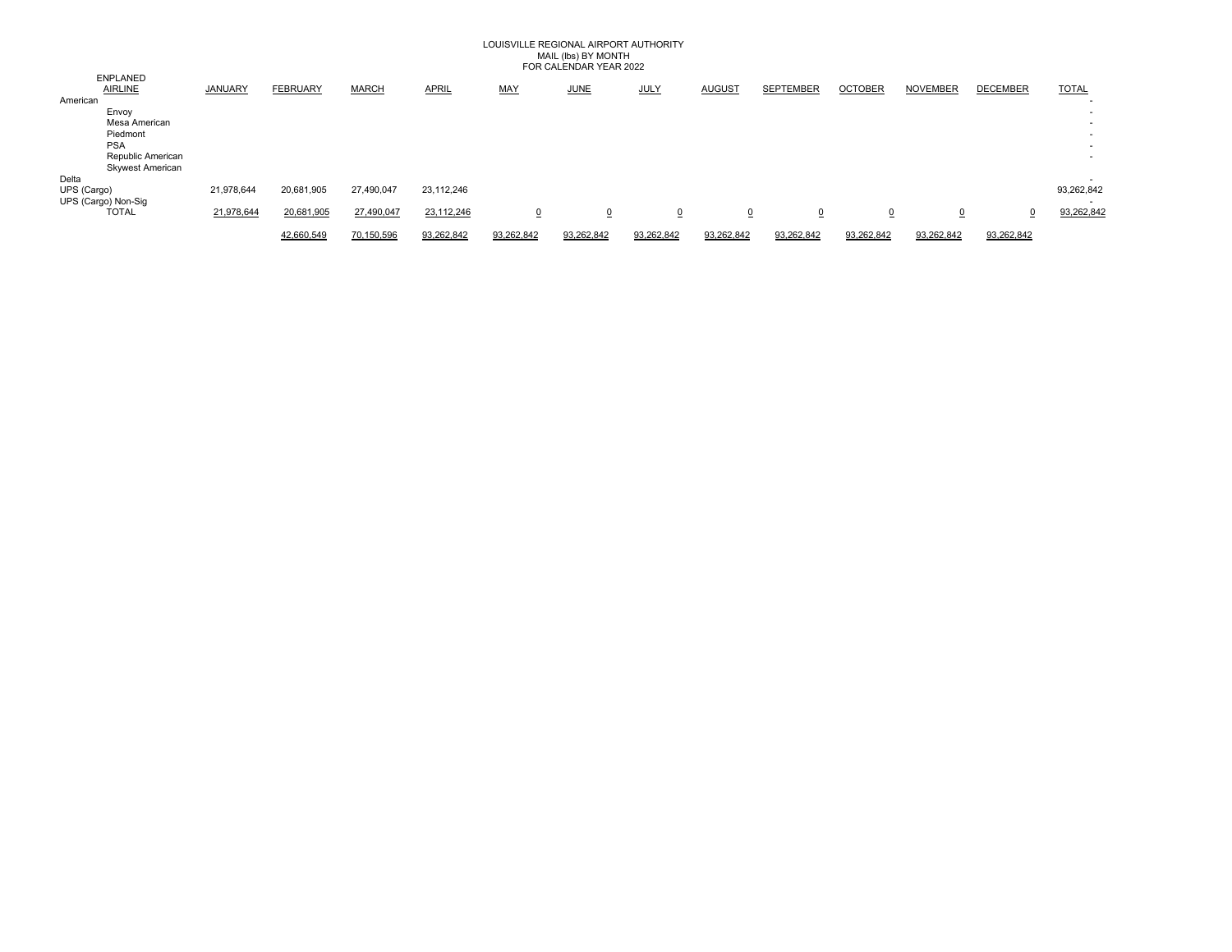### LOUISVILLE REGIONAL AIRPORT AUTHORITY MAIL (lbs) BY MONTH FOR CALENDAR YEAR 2022

|             |                                   |                |                 |              |              |                | , OK OALLINDA (K. 1 LAKKE O LE |             |               |                  |                |                 |                 |              |
|-------------|-----------------------------------|----------------|-----------------|--------------|--------------|----------------|--------------------------------|-------------|---------------|------------------|----------------|-----------------|-----------------|--------------|
|             | <b>ENPLANED</b><br><b>AIRLINE</b> | <b>JANUARY</b> | <b>FEBRUARY</b> | <b>MARCH</b> | <b>APRIL</b> | <b>MAY</b>     | <b>JUNE</b>                    | <b>JULY</b> | <b>AUGUST</b> | <b>SEPTEMBER</b> | <b>OCTOBER</b> | <b>NOVEMBER</b> | <b>DECEMBER</b> | <b>TOTAL</b> |
| American    |                                   |                |                 |              |              |                |                                |             |               |                  |                |                 |                 |              |
|             | Envoy                             |                |                 |              |              |                |                                |             |               |                  |                |                 |                 |              |
|             | Mesa American                     |                |                 |              |              |                |                                |             |               |                  |                |                 |                 |              |
|             | Piedmont                          |                |                 |              |              |                |                                |             |               |                  |                |                 |                 |              |
|             | <b>PSA</b>                        |                |                 |              |              |                |                                |             |               |                  |                |                 |                 | . .          |
|             | Republic American                 |                |                 |              |              |                |                                |             |               |                  |                |                 |                 |              |
|             | <b>Skywest American</b>           |                |                 |              |              |                |                                |             |               |                  |                |                 |                 |              |
| Delta       |                                   |                |                 |              |              |                |                                |             |               |                  |                |                 |                 |              |
| UPS (Cargo) |                                   | 21,978,644     | 20,681,905      | 27,490,047   | 23,112,246   |                |                                |             |               |                  |                |                 |                 | 93,262,842   |
|             | UPS (Cargo) Non-Sig               |                |                 |              |              |                |                                |             |               |                  |                |                 |                 |              |
|             | <b>TOTAL</b>                      | 21,978,644     | 20,681,905      | 27,490,047   | 23,112,246   | $\overline{0}$ | $\overline{0}$                 | $\Omega$    | $\Omega$      |                  | $\overline{0}$ | $\Omega$        |                 | 93,262,842   |
|             |                                   |                | 42,660,549      | 70.150.596   | 93,262,842   | 93,262,842     | 93,262,842                     | 93.262.842  | 93,262,842    | 93.262.842       | 93,262,842     | 93,262,842      | 93,262,842      |              |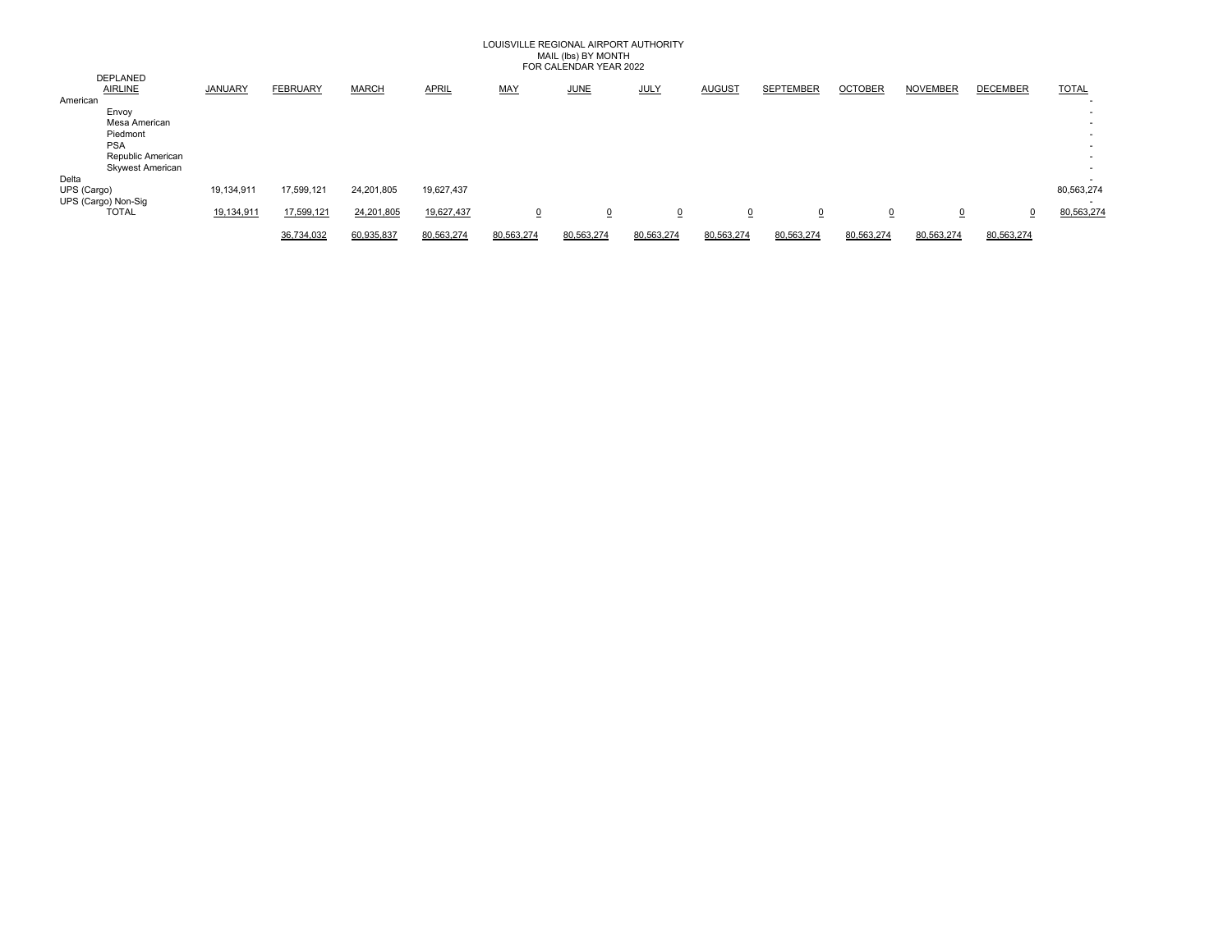### LOUISVILLE REGIONAL AIRPORT AUTHORITY MAIL (lbs) BY MONTH FOR CALENDAR YEAR 2022

|             |                                   |                |                 |              |              |            | TUN UALLINDAN TLAIN 2022 |             |               |                  |                |                 |                 |              |
|-------------|-----------------------------------|----------------|-----------------|--------------|--------------|------------|--------------------------|-------------|---------------|------------------|----------------|-----------------|-----------------|--------------|
|             | <b>DEPLANED</b><br><b>AIRLINE</b> | <b>JANUARY</b> | <b>FEBRUARY</b> | <b>MARCH</b> | <b>APRIL</b> | <b>MAY</b> | <b>JUNE</b>              | <b>JULY</b> | <b>AUGUST</b> | <b>SEPTEMBER</b> | <b>OCTOBER</b> | <b>NOVEMBER</b> | <b>DECEMBER</b> | <b>TOTAL</b> |
| American    |                                   |                |                 |              |              |            |                          |             |               |                  |                |                 |                 |              |
|             | Envoy                             |                |                 |              |              |            |                          |             |               |                  |                |                 |                 |              |
|             | Mesa American                     |                |                 |              |              |            |                          |             |               |                  |                |                 |                 |              |
|             | Piedmont                          |                |                 |              |              |            |                          |             |               |                  |                |                 |                 | . .          |
|             | <b>PSA</b>                        |                |                 |              |              |            |                          |             |               |                  |                |                 |                 |              |
|             | Republic American                 |                |                 |              |              |            |                          |             |               |                  |                |                 |                 |              |
|             | <b>Skywest American</b>           |                |                 |              |              |            |                          |             |               |                  |                |                 |                 |              |
| Delta       |                                   |                |                 |              |              |            |                          |             |               |                  |                |                 |                 |              |
| UPS (Cargo) |                                   | 19,134,911     | 17,599,121      | 24,201,805   | 19,627,437   |            |                          |             |               |                  |                |                 |                 | 80,563,274   |
|             | UPS (Cargo) Non-Sig               |                |                 |              |              |            |                          |             |               |                  |                |                 |                 |              |
|             | <b>TOTAL</b>                      | 19,134,911     | 17,599,121      | 24,201,805   | 19,627,437   | $\Omega$   | $\overline{0}$           | $\Omega$    | $\Omega$      |                  | $\overline{0}$ | $\overline{0}$  |                 | 80,563,274   |
|             |                                   |                | 36.734.032      | 60.935.837   | 80,563,274   | 80.563.274 | 80,563,274               | 80.563.274  | 80.563.274    | 80.563.274       | 80,563,274     | 80,563,274      | 80.563.274      |              |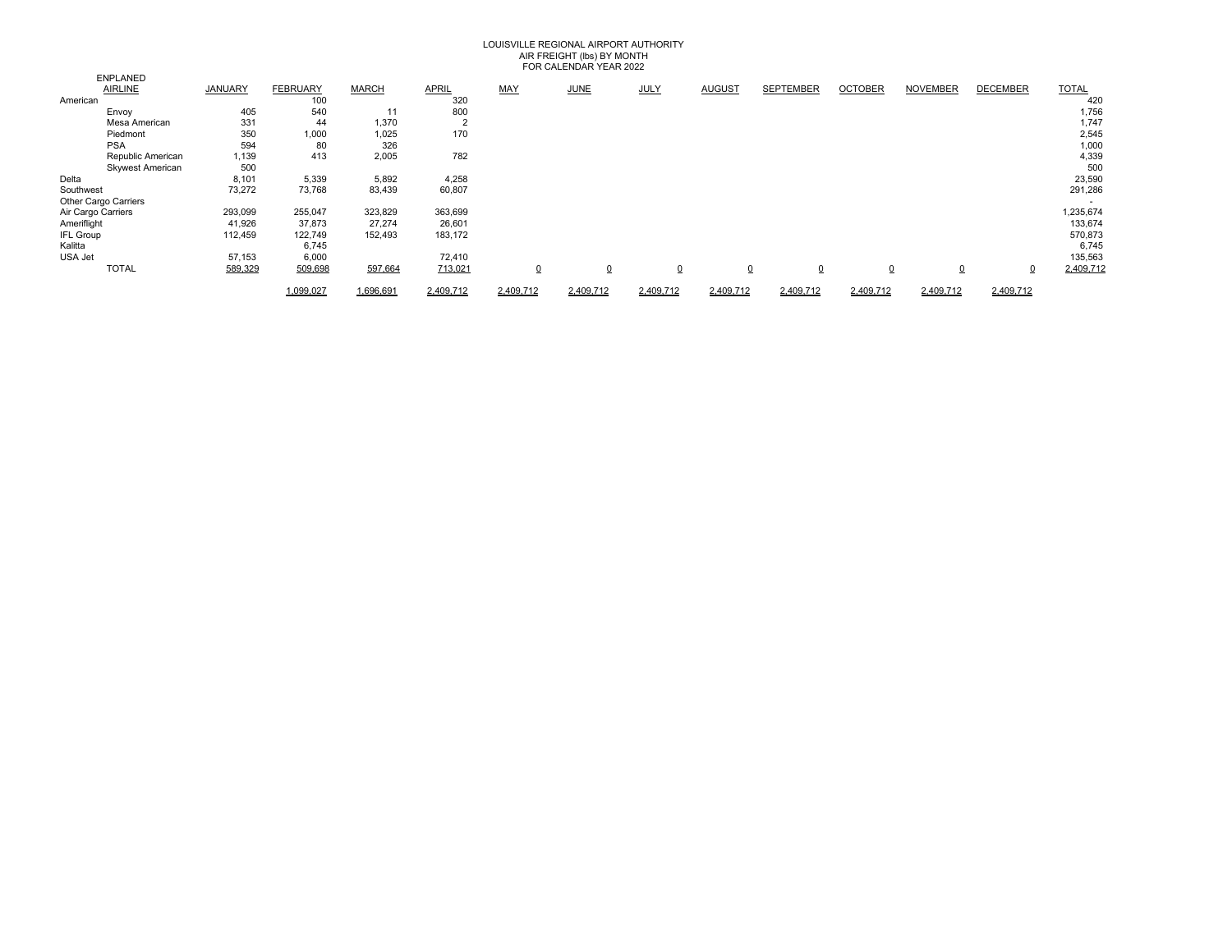# LOUISVILLE REGIONAL AIRPORT AUTHORITY AIR FREIGHT (Ibs) BY MONTH<br>FOR CALENDAR YEAR 2022

|                    | <b>ENPLANED</b>         |                |                 |              |              |                |             |             |               |                                  |                |                 |                 |              |
|--------------------|-------------------------|----------------|-----------------|--------------|--------------|----------------|-------------|-------------|---------------|----------------------------------|----------------|-----------------|-----------------|--------------|
|                    | AIRLINE                 | <b>JANUARY</b> | <b>FEBRUARY</b> | <b>MARCH</b> | <b>APRIL</b> | <b>MAY</b>     | <b>JUNE</b> | <b>JULY</b> | <b>AUGUST</b> | <b>SEPTEMBER</b>                 | <b>OCTOBER</b> | <b>NOVEMBER</b> | <b>DECEMBER</b> | <b>TOTAL</b> |
| American           |                         |                | 100             |              | 320          |                |             |             |               |                                  |                |                 |                 | 420          |
|                    | Envoy                   | 405            | 540             | 11           | 800          |                |             |             |               |                                  |                |                 |                 | 1,756        |
|                    | Mesa American           | 331            | 44              | 1,370        | ∠            |                |             |             |               |                                  |                |                 |                 | 1,747        |
|                    | Piedmont                | 350            | 1,000           | 1,025        | 170          |                |             |             |               |                                  |                |                 |                 | 2,545        |
|                    | <b>PSA</b>              | 594            | 80              | 326          |              |                |             |             |               |                                  |                |                 |                 | 1,000        |
|                    | Republic American       | 1,139          | 413             | 2,005        | 782          |                |             |             |               |                                  |                |                 |                 | 4,339        |
|                    | <b>Skywest American</b> | 500            |                 |              |              |                |             |             |               |                                  |                |                 |                 | 500          |
| Delta              |                         | 8,101          | 5,339           | 5,892        | 4,258        |                |             |             |               |                                  |                |                 |                 | 23,590       |
| Southwest          |                         | 73,272         | 73,768          | 83,439       | 60,807       |                |             |             |               |                                  |                |                 |                 | 291,286      |
|                    | Other Cargo Carriers    |                |                 |              |              |                |             |             |               |                                  |                |                 |                 |              |
| Air Cargo Carriers |                         | 293,099        | 255,047         | 323,829      | 363,699      |                |             |             |               |                                  |                |                 |                 | 1,235,674    |
| Ameriflight        |                         | 41,926         | 37,873          | 27,274       | 26,601       |                |             |             |               |                                  |                |                 |                 | 133,674      |
| <b>IFL Group</b>   |                         | 112,459        | 122,749         | 152,493      | 183,172      |                |             |             |               |                                  |                |                 |                 | 570,873      |
| Kalitta            |                         |                | 6,745           |              |              |                |             |             |               |                                  |                |                 |                 | 6,745        |
| USA Jet            |                         | 57,153         | 6,000           |              | 72,410       |                |             |             |               |                                  |                |                 |                 | 135,563      |
|                    | <b>TOTAL</b>            | 589,329        | 509,698         | 597,664      | 713,021      | $\overline{0}$ | 0           | $\Omega$    |               | $\overline{0}$<br>$\overline{0}$ | $\overline{0}$ | $\overline{0}$  | $\overline{0}$  | 2,409,712    |
|                    |                         |                | 1,099,027       | 1,696,691    | 2,409,712    | 2.409.712      | 2,409,712   | 2,409,712   | 2,409,712     | 2.409.712                        | 2.409.712      | 2,409,712       | 2,409,712       |              |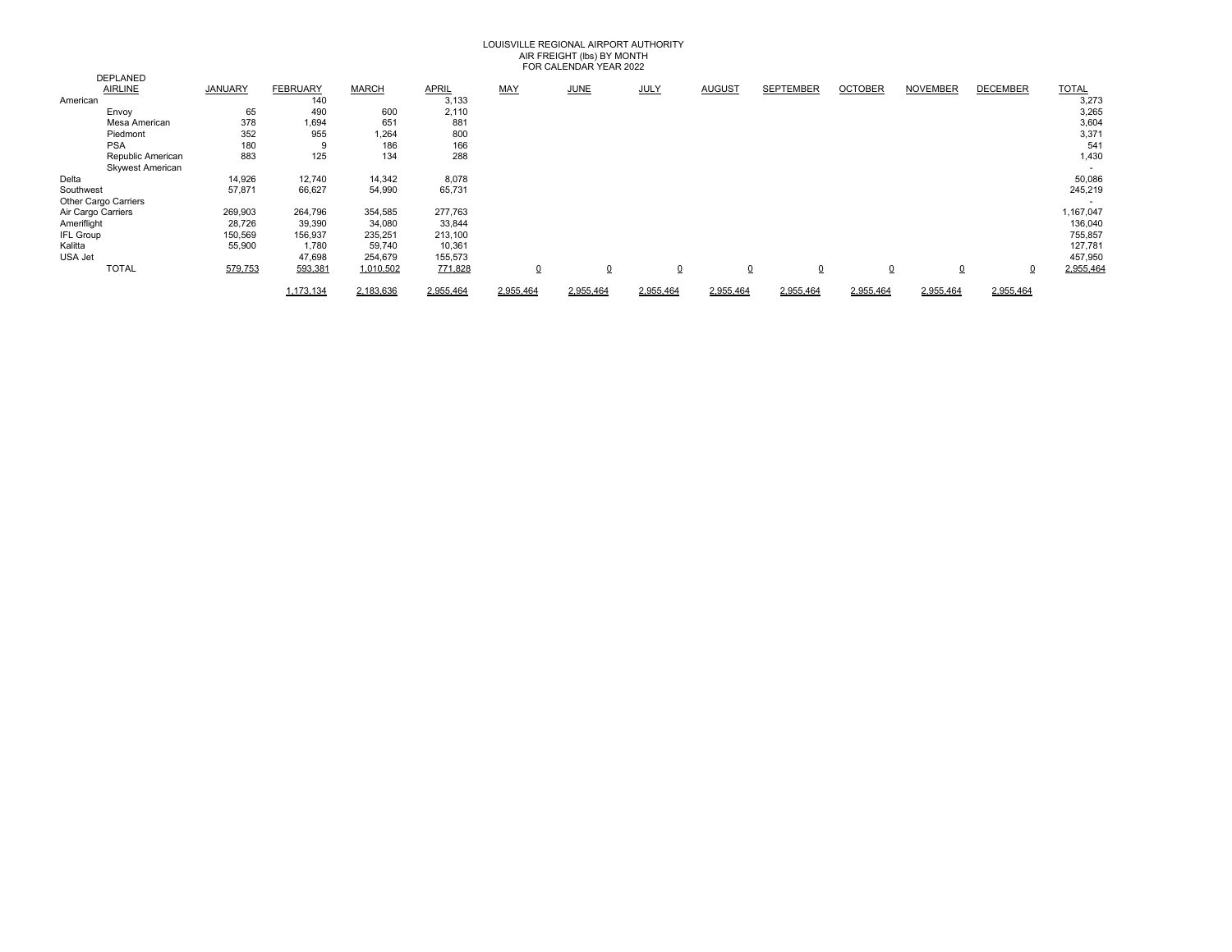# LOUISVILLE REGIONAL AIRPORT AUTHORITY AIR FREIGHT (lbs) BY MONTH FOR CALENDAR YEAR 2022

|                    |                         |                |                 |              |           |                | , OI , OI , LEI , DI , II , I LI , II , LULL |             |                |                  |                |                 |                 |              |
|--------------------|-------------------------|----------------|-----------------|--------------|-----------|----------------|----------------------------------------------|-------------|----------------|------------------|----------------|-----------------|-----------------|--------------|
|                    | <b>DEPLANED</b>         |                |                 |              |           |                |                                              |             |                |                  |                |                 |                 |              |
|                    | <b>AIRLINE</b>          | <b>JANUARY</b> | <b>FEBRUARY</b> | <b>MARCH</b> | APRIL     | <b>MAY</b>     | <b>JUNE</b>                                  | <b>JULY</b> | <b>AUGUST</b>  | <b>SEPTEMBER</b> | <b>OCTOBER</b> | <b>NOVEMBER</b> | <b>DECEMBER</b> | <b>TOTAL</b> |
| American           |                         |                | 140             |              | 3,133     |                |                                              |             |                |                  |                |                 |                 | 3,273        |
|                    | Envoy                   | 65             | 490             | 600          | 2,110     |                |                                              |             |                |                  |                |                 |                 | 3,265        |
|                    | Mesa American           | 378            | 1,694           | 651          | 881       |                |                                              |             |                |                  |                |                 |                 | 3,604        |
|                    | Piedmont                | 352            | 955             | 1,264        | 800       |                |                                              |             |                |                  |                |                 |                 | 3,371        |
|                    | <b>PSA</b>              | 180            | 9               | 186          | 166       |                |                                              |             |                |                  |                |                 |                 | 541          |
|                    | Republic American       | 883            | 125             | 134          | 288       |                |                                              |             |                |                  |                |                 |                 | 1,430        |
|                    | <b>Skywest American</b> |                |                 |              |           |                |                                              |             |                |                  |                |                 |                 |              |
| Delta              |                         | 14,926         | 12,740          | 14,342       | 8,078     |                |                                              |             |                |                  |                |                 |                 | 50,086       |
| Southwest          |                         | 57,871         | 66,627          | 54,990       | 65,731    |                |                                              |             |                |                  |                |                 |                 | 245,219      |
|                    | Other Cargo Carriers    |                |                 |              |           |                |                                              |             |                |                  |                |                 |                 |              |
| Air Cargo Carriers |                         | 269,903        | 264,796         | 354,585      | 277,763   |                |                                              |             |                |                  |                |                 |                 | 1,167,047    |
| Ameriflight        |                         | 28,726         | 39,390          | 34,080       | 33,844    |                |                                              |             |                |                  |                |                 |                 | 136,040      |
| <b>IFL Group</b>   |                         | 150,569        | 156,937         | 235,251      | 213,100   |                |                                              |             |                |                  |                |                 |                 | 755,857      |
| Kalitta            |                         | 55,900         | 1,780           | 59,740       | 10,361    |                |                                              |             |                |                  |                |                 |                 | 127,781      |
| USA Jet            |                         |                | 47,698          | 254,679      | 155,573   |                |                                              |             |                |                  |                |                 |                 | 457,950      |
|                    | <b>TOTAL</b>            | 579,753        | 593,381         | 1,010,502    | 771,828   | $\overline{0}$ | $\Omega$                                     | 0           | $\overline{0}$ | $\overline{0}$   | $\overline{0}$ | $\overline{0}$  | $\Omega$        | 2,955,464    |
|                    |                         |                | 1.173.134       | 2.183.636    | 2.955.464 | 2.955.464      | 2,955,464                                    | 2.955.464   | 2.955.464      | 2.955.464        | 2.955.464      | 2.955.464       | 2,955,464       |              |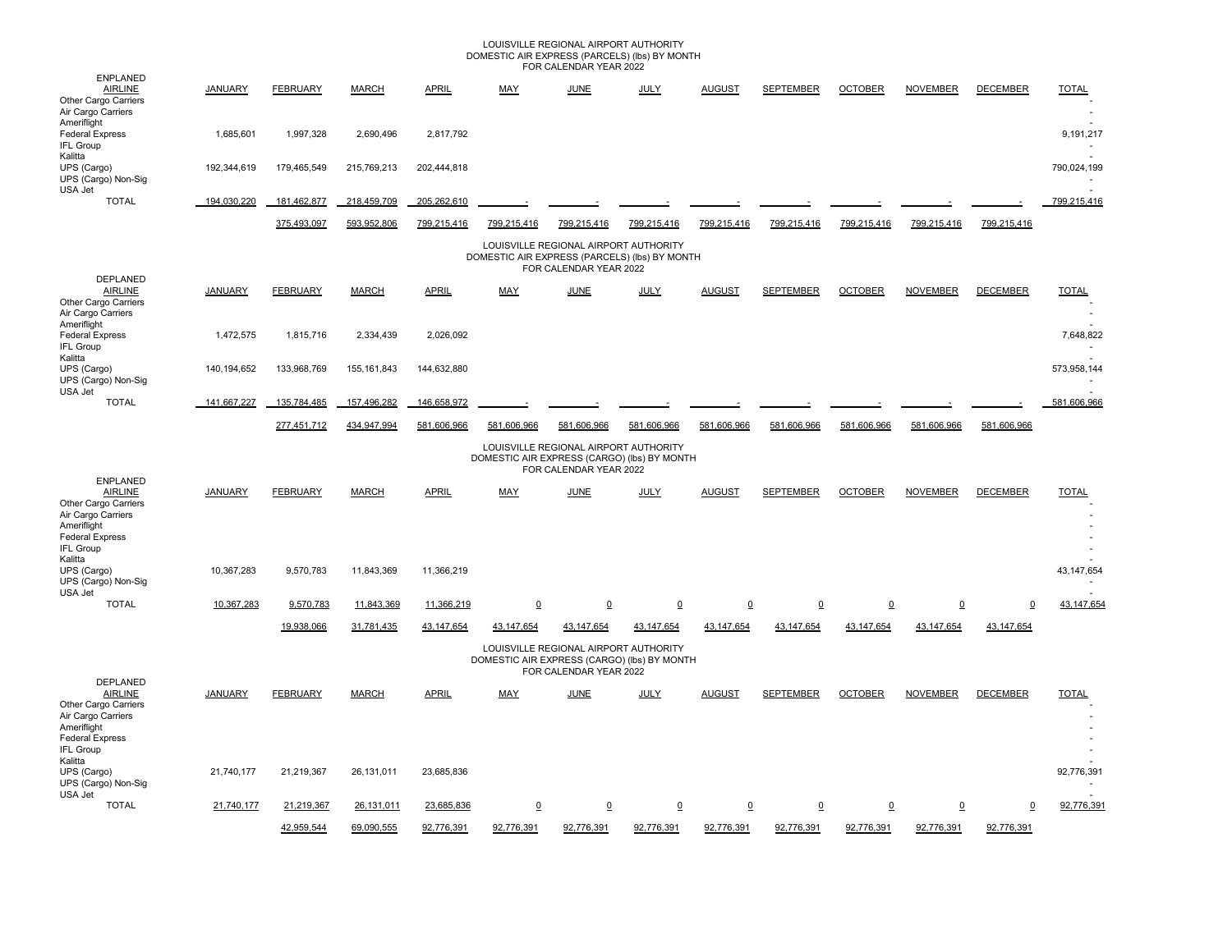### LOUISVILLE REGIONAL AIRPORT AUTHORITY DOMESTIC AIR EXPRESS (PARCELS) (lbs) BY MONTH FOR CALENDAR YEAR 2022

| <b>ENPLANED</b>                                                                                                                                         |                |                 |               |              |                                               | TUN UALLINDAIN TLAIN 2022                                       |                |                 |                  |                 |                 |                 |                      |
|---------------------------------------------------------------------------------------------------------------------------------------------------------|----------------|-----------------|---------------|--------------|-----------------------------------------------|-----------------------------------------------------------------|----------------|-----------------|------------------|-----------------|-----------------|-----------------|----------------------|
| <b>AIRLINE</b><br>Other Cargo Carriers<br>Air Cargo Carriers                                                                                            | <b>JANUARY</b> | <b>FEBRUARY</b> | <b>MARCH</b>  | <b>APRIL</b> | <b>MAY</b>                                    | <b>JUNE</b>                                                     | <b>JULY</b>    | <b>AUGUST</b>   | <b>SEPTEMBER</b> | <b>OCTOBER</b>  | <b>NOVEMBER</b> | <b>DECEMBER</b> | <b>TOTAL</b>         |
| Ameriflight<br><b>Federal Express</b><br><b>IFL Group</b>                                                                                               | 1,685,601      | 1,997,328       | 2,690,496     | 2.817.792    |                                               |                                                                 |                |                 |                  |                 |                 |                 | 9,191,217            |
| Kalitta<br>UPS (Cargo)<br>UPS (Cargo) Non-Sig<br>USA Jet                                                                                                | 192,344,619    | 179.465.549     | 215.769.213   | 202.444.818  |                                               |                                                                 |                |                 |                  |                 |                 |                 | 790.024.199          |
| <b>TOTAL</b>                                                                                                                                            | 194,030,220    | 181,462,877     | 218,459,709   | 205,262,610  |                                               |                                                                 |                |                 |                  |                 |                 |                 | 799,215,416          |
|                                                                                                                                                         |                | 375,493,097     | 593,952,806   | 799,215,416  | 799,215,416                                   | 799,215,416                                                     | 799,215,416    | 799,215,416     | 799,215,416      | 799,215,416     | 799,215,416     | 799,215,416     |                      |
|                                                                                                                                                         |                |                 |               |              | DOMESTIC AIR EXPRESS (PARCELS) (Ibs) BY MONTH | LOUISVILLE REGIONAL AIRPORT AUTHORITY<br>FOR CALENDAR YEAR 2022 |                |                 |                  |                 |                 |                 |                      |
| DEPLANED<br><b>AIRLINE</b><br>Other Cargo Carriers<br>Air Cargo Carriers                                                                                | <b>JANUARY</b> | <b>FEBRUARY</b> | <b>MARCH</b>  | <b>APRIL</b> | <b>MAY</b>                                    | <b>JUNE</b>                                                     | <b>JULY</b>    | <b>AUGUST</b>   | <b>SEPTEMBER</b> | <b>OCTOBER</b>  | <b>NOVEMBER</b> | <b>DECEMBER</b> | <b>TOTAL</b>         |
| Ameriflight<br><b>Federal Express</b><br>IFL Group                                                                                                      | 1,472,575      | 1,815,716       | 2,334,439     | 2,026,092    |                                               |                                                                 |                |                 |                  |                 |                 |                 | 7,648,822            |
| Kalitta<br>UPS (Cargo)<br>UPS (Cargo) Non-Sig<br>USA Jet                                                                                                | 140, 194, 652  | 133,968,769     | 155, 161, 843 | 144,632,880  |                                               |                                                                 |                |                 |                  |                 |                 |                 | 573,958,144          |
| <b>TOTAL</b>                                                                                                                                            | 141.667.227    | 135,784,485     | 157,496,282   | 146,658,972  |                                               |                                                                 |                |                 |                  |                 |                 |                 | 581,606,966          |
|                                                                                                                                                         |                | 277,451,712     | 434,947,994   | 581,606,966  | 581,606,966                                   | 581,606,966                                                     | 581,606,966    | 581,606,966     | 581,606,966      | 581,606,966     | 581,606,966     | 581,606,966     |                      |
|                                                                                                                                                         |                |                 |               |              | DOMESTIC AIR EXPRESS (CARGO) (lbs) BY MONTH   | LOUISVILLE REGIONAL AIRPORT AUTHORITY<br>FOR CALENDAR YEAR 2022 |                |                 |                  |                 |                 |                 |                      |
| <b>ENPLANED</b><br><b>AIRLINE</b><br>Other Cargo Carriers<br>Air Cargo Carriers<br>Ameriflight<br><b>Federal Express</b><br><b>IFL Group</b><br>Kalitta | <b>JANUARY</b> | <b>FEBRUARY</b> | <b>MARCH</b>  | <b>APRIL</b> | MAY                                           | JUNE                                                            | JULY           | <b>AUGUST</b>   | <b>SEPTEMBER</b> | <b>OCTOBER</b>  | <b>NOVEMBER</b> | <b>DECEMBER</b> | <b>TOTAL</b>         |
| UPS (Cargo)<br>UPS (Cargo) Non-Sig<br>USA Jet                                                                                                           | 10,367,283     | 9,570,783       | 11,843,369    | 11,366,219   |                                               |                                                                 |                |                 |                  |                 |                 |                 | 43, 147, 654         |
| <b>TOTAL</b>                                                                                                                                            | 10,367,283     | 9,570,783       | 11,843,369    | 11,366,219   | $\Omega$                                      | $\underline{0}$                                                 | $\overline{0}$ | $\underline{0}$ | $\overline{0}$   | $\underline{0}$ | $\underline{0}$ | $\mathbf 0$     | 43,147,654           |
|                                                                                                                                                         |                | 19,938,066      | 31,781,435    | 43,147,654   | 43,147,654                                    | 43,147,654                                                      | 43,147,654     | 43, 147, 654    | 43,147,654       | 43, 147, 654    | 43,147,654      | 43,147,654      |                      |
|                                                                                                                                                         |                |                 |               |              | DOMESTIC AIR EXPRESS (CARGO) (lbs) BY MONTH   | LOUISVILLE REGIONAL AIRPORT AUTHORITY<br>FOR CALENDAR YEAR 2022 |                |                 |                  |                 |                 |                 |                      |
| DEPLANED<br><b>AIRLINE</b><br>Other Cargo Carriers<br>Air Cargo Carriers<br>Ameriflight<br><b>Federal Express</b><br><b>IFL Group</b>                   | <b>JANUARY</b> | <b>FEBRUARY</b> | <b>MARCH</b>  | <b>APRIL</b> | MAY                                           | JUNE                                                            | JULY           | <b>AUGUST</b>   | <b>SEPTEMBER</b> | <b>OCTOBER</b>  | <b>NOVEMBER</b> | <b>DECEMBER</b> | <b>TOTAL</b>         |
| Kalitta<br>UPS (Cargo)<br>UPS (Cargo) Non-Sig<br>USA Jet                                                                                                | 21,740,177     | 21,219,367      | 26,131,011    | 23,685,836   |                                               |                                                                 |                |                 |                  |                 |                 |                 | 92,776,391<br>$\sim$ |
| <b>TOTAL</b>                                                                                                                                            | 21,740,177     | 21,219,367      | 26,131,011    | 23,685,836   | $\overline{0}$                                | $\overline{0}$                                                  | $\overline{0}$ | $\overline{0}$  | $\overline{0}$   | $\overline{0}$  | $\overline{0}$  | $\mathbf 0$     | 92,776,391           |
|                                                                                                                                                         |                | 42,959,544      | 69,090,555    | 92,776,391   | 92,776,391                                    | 92,776,391                                                      | 92,776,391     | 92,776,391      | 92,776,391       | 92,776,391      | 92,776,391      | 92,776,391      |                      |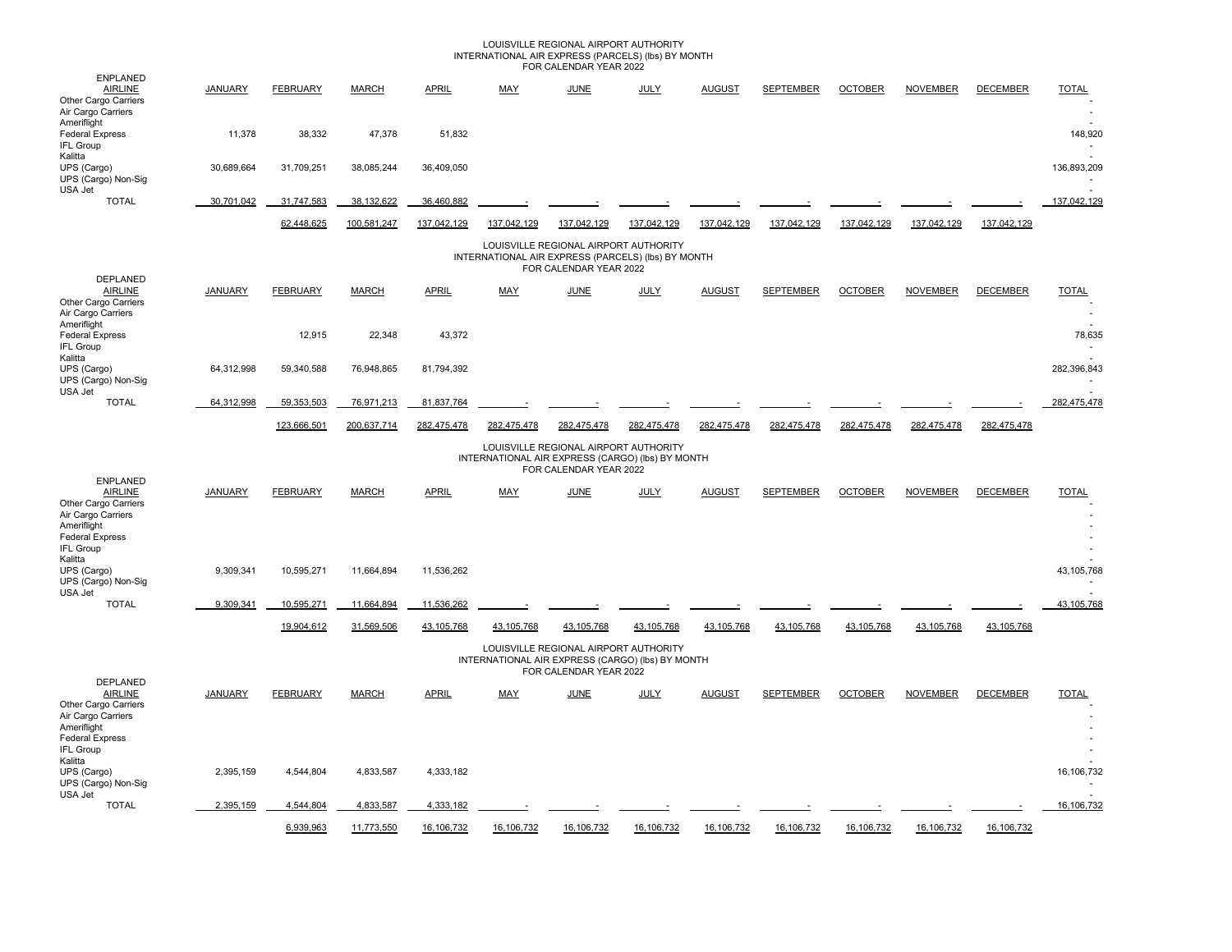## LOUISVILLE REGIONAL AIRPORT AUTHORITY INTERNATIONAL AIR EXPRESS (PARCELS) (lbs) BY MONTH FOR CALENDAR YEAR 2022

| <b>ENPLANED</b>                                                                                                                                         |                |                 |              |              |                                                    |                                                                 |             |               |                  |                |                 |                 |                      |
|---------------------------------------------------------------------------------------------------------------------------------------------------------|----------------|-----------------|--------------|--------------|----------------------------------------------------|-----------------------------------------------------------------|-------------|---------------|------------------|----------------|-----------------|-----------------|----------------------|
| <b>AIRLINE</b><br>Other Cargo Carriers<br>Air Cargo Carriers                                                                                            | <b>JANUARY</b> | <b>FEBRUARY</b> | <b>MARCH</b> | <b>APRIL</b> | <b>MAY</b>                                         | <b>JUNE</b>                                                     | <b>JULY</b> | <b>AUGUST</b> | <b>SEPTEMBER</b> | <b>OCTOBER</b> | <b>NOVEMBER</b> | <b>DECEMBER</b> | <b>TOTAL</b>         |
| Ameriflight<br><b>Federal Express</b><br><b>IFL Group</b>                                                                                               | 11,378         | 38,332          | 47,378       | 51,832       |                                                    |                                                                 |             |               |                  |                |                 |                 | 148,920              |
| Kalitta<br>UPS (Cargo)<br>UPS (Cargo) Non-Sig<br>USA Jet                                                                                                | 30,689,664     | 31,709,251      | 38,085,244   | 36,409,050   |                                                    |                                                                 |             |               |                  |                |                 |                 | 136,893,209          |
| <b>TOTAL</b>                                                                                                                                            | 30,701,042     | 31,747,583      | 38,132,622   | 36,460,882   |                                                    |                                                                 |             |               |                  |                |                 |                 | 137,042,129          |
|                                                                                                                                                         |                | 62,448,625      | 100,581,247  | 137,042,129  | 137,042,129                                        | 137,042,129                                                     | 137,042,129 | 137,042,129   | 137,042,129      | 137,042,129    | 137,042,129     | 137,042,129     |                      |
|                                                                                                                                                         |                |                 |              |              | INTERNATIONAL AIR EXPRESS (PARCELS) (lbs) BY MONTH | LOUISVILLE REGIONAL AIRPORT AUTHORITY<br>FOR CALENDAR YEAR 2022 |             |               |                  |                |                 |                 |                      |
| DEPLANED<br><b>AIRLINE</b><br>Other Cargo Carriers<br>Air Cargo Carriers                                                                                | <b>JANUARY</b> | <b>FEBRUARY</b> | <b>MARCH</b> | <b>APRIL</b> | <b>MAY</b>                                         | <b>JUNE</b>                                                     | <b>JULY</b> | <b>AUGUST</b> | <b>SEPTEMBER</b> | <b>OCTOBER</b> | <b>NOVEMBER</b> | <b>DECEMBER</b> | <b>TOTAL</b>         |
| Ameriflight<br><b>Federal Express</b><br><b>IFL Group</b><br>Kalitta                                                                                    |                | 12,915          | 22,348       | 43,372       |                                                    |                                                                 |             |               |                  |                |                 |                 | 78,635               |
| UPS (Cargo)<br>UPS (Cargo) Non-Sig<br>USA Jet                                                                                                           | 64,312,998     | 59,340,588      | 76,948,865   | 81,794,392   |                                                    |                                                                 |             |               |                  |                |                 |                 | 282,396,843          |
| <b>TOTAL</b>                                                                                                                                            | 64,312,998     | 59,353,503      | 76,971,213   | 81,837,764   |                                                    |                                                                 |             |               |                  |                |                 |                 | 282.475.478          |
|                                                                                                                                                         |                | 123,666,501     | 200,637,714  | 282,475,478  | 282,475,478                                        | 282.475.478                                                     | 282.475.478 | 282,475,478   | 282,475,478      | 282,475,478    | 282,475,478     | 282,475,478     |                      |
|                                                                                                                                                         |                |                 |              |              | INTERNATIONAL AIR EXPRESS (CARGO) (Ibs) BY MONTH   | LOUISVILLE REGIONAL AIRPORT AUTHORITY<br>FOR CALENDAR YEAR 2022 |             |               |                  |                |                 |                 |                      |
| <b>ENPLANED</b><br><b>AIRLINE</b><br>Other Cargo Carriers<br>Air Cargo Carriers<br>Ameriflight<br><b>Federal Express</b><br><b>IFL Group</b><br>Kalitta | <b>JANUARY</b> | <b>FEBRUARY</b> | <b>MARCH</b> | <b>APRIL</b> | <b>MAY</b>                                         | <b>JUNE</b>                                                     | <b>JULY</b> | <b>AUGUST</b> | <b>SEPTEMBER</b> | <b>OCTOBER</b> | <b>NOVEMBER</b> | <b>DECEMBER</b> | <b>TOTAL</b>         |
| UPS (Cargo)<br>UPS (Cargo) Non-Sig<br>USA Jet                                                                                                           | 9,309,341      | 10,595,271      | 11,664,894   | 11,536,262   |                                                    |                                                                 |             |               |                  |                |                 |                 | 43,105,768           |
| <b>TOTAL</b>                                                                                                                                            | 9,309,341      | 10,595,271      | 11,664,894   | 11,536,262   |                                                    |                                                                 |             |               |                  |                |                 |                 | 43,105,768           |
|                                                                                                                                                         |                | 19.904.612      | 31,569,506   | 43.105.768   | 43.105.768                                         | 43.105.768                                                      | 43.105.768  | 43.105.768    | 43,105,768       | 43.105.768     | 43,105,768      | 43,105,768      |                      |
|                                                                                                                                                         |                |                 |              |              | INTERNATIONAL AIR EXPRESS (CARGO) (lbs) BY MONTH   | LOUISVILLE REGIONAL AIRPORT AUTHORITY<br>FOR CALENDAR YEAR 2022 |             |               |                  |                |                 |                 |                      |
| <b>DEPLANED</b><br><b>AIRLINE</b><br>Other Cargo Carriers<br>Air Cargo Carriers<br>Ameriflight<br><b>Federal Express</b><br>IFL Group                   | <b>JANUARY</b> | <b>FEBRUARY</b> | <b>MARCH</b> | <b>APRIL</b> | MAY                                                | <b>JUNE</b>                                                     | <b>JULY</b> | <b>AUGUST</b> | <b>SEPTEMBER</b> | <b>OCTOBER</b> | <b>NOVEMBER</b> | <b>DECEMBER</b> | <b>TOTAL</b>         |
| Kalitta<br>UPS (Cargo)<br>UPS (Cargo) Non-Sig<br>USA Jet                                                                                                | 2,395,159      | 4,544,804       | 4,833,587    | 4,333,182    |                                                    |                                                                 |             |               |                  |                |                 |                 | 16,106,732<br>$\sim$ |
| <b>TOTAL</b>                                                                                                                                            | 2,395,159      | 4,544,804       | 4,833,587    | 4,333,182    |                                                    |                                                                 |             |               |                  |                |                 |                 | 16,106,732           |
|                                                                                                                                                         |                | 6,939,963       | 11,773,550   | 16,106,732   | 16,106,732                                         | 16,106,732                                                      | 16,106,732  | 16,106,732    | 16,106,732       | 16,106,732     | 16, 106, 732    | 16,106,732      |                      |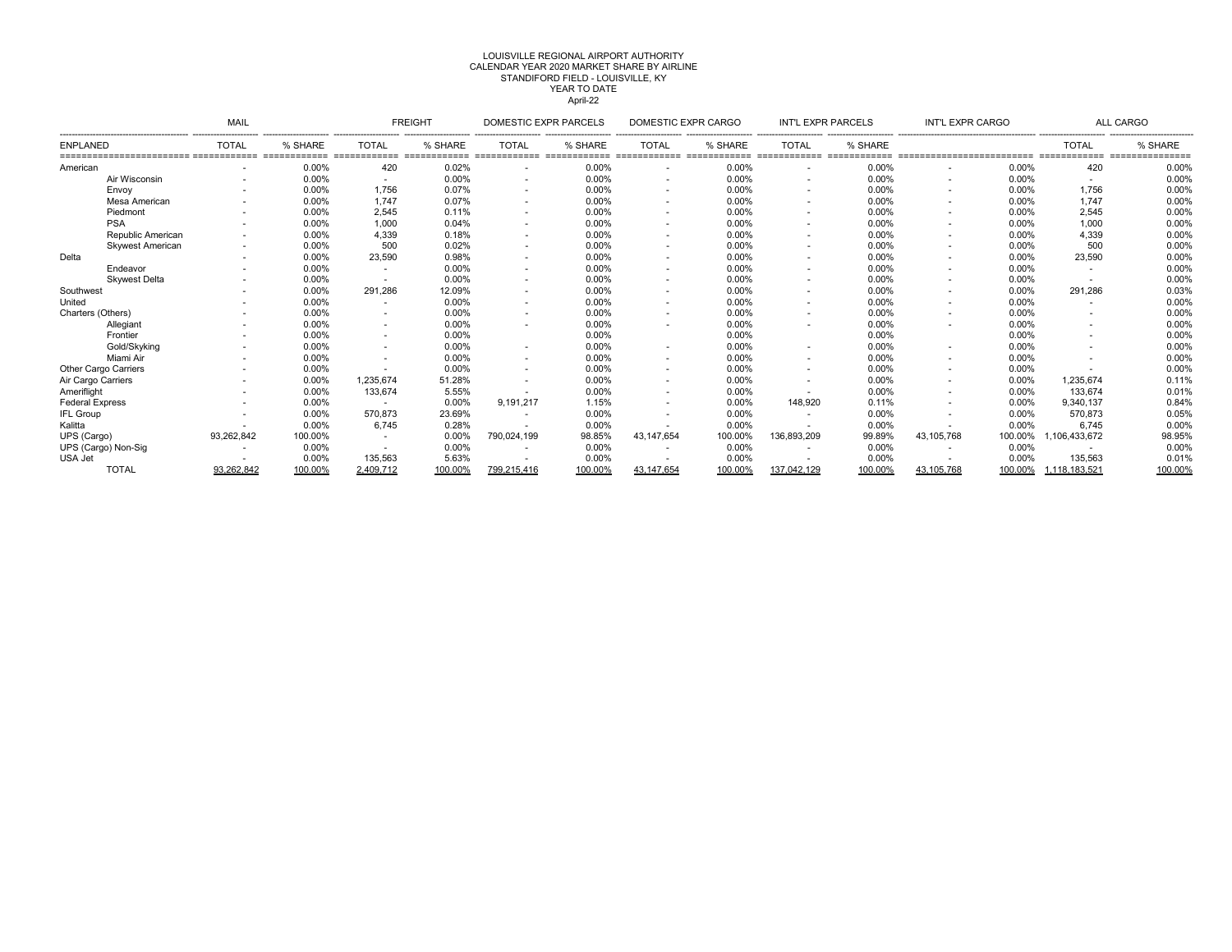# CALENDAR YEAR 2020 MARKET SHARE BY AIRLINE LOUISVILLE REGIONAL AIRPORT AUTHORITYSTANDIFORD FIELD - LOUISVILLE, KY YEAR TO DATE April-22

|                         | MAIL                     |         |              | <b>FREIGHT</b> | DOMESTIC EXPR PARCELS |         | DOMESTIC EXPR CARGO      |         | <b>INT'L EXPR PARCELS</b> |         | INT'L EXPR CARGO |         |               | ALL CARGO          |
|-------------------------|--------------------------|---------|--------------|----------------|-----------------------|---------|--------------------------|---------|---------------------------|---------|------------------|---------|---------------|--------------------|
| <b>ENPLANED</b>         | <b>TOTAL</b>             | % SHARE | <b>TOTAL</b> | % SHARE        | <b>TOTAL</b>          | % SHARE | <b>TOTAL</b>             | % SHARE | <b>TOTAL</b>              | % SHARE |                  |         | <b>TOTAL</b>  | % SHARE<br>======= |
| American                |                          | 0.00%   | 420          | 0.02%          |                       | 0.00%   | ۰                        | 0.00%   |                           | 0.00%   |                  | 0.00%   | 420           | 0.00%              |
| Air Wisconsin           | $\overline{\phantom{a}}$ | 0.00%   |              | 0.00%          |                       | 0.00%   | ۰.                       | 0.00%   | $\overline{\phantom{a}}$  | 0.00%   |                  | 0.00%   | $\sim$        | 0.00%              |
| Envoy                   |                          | 0.00%   | 1.756        | 0.07%          |                       | 0.00%   | ۰.                       | 0.00%   |                           | 0.00%   |                  | 0.00%   | 1,756         | 0.00%              |
| Mesa American           |                          | 0.00%   | 1.747        | 0.07%          |                       | 0.00%   | <b>м.</b>                | 0.00%   |                           | 0.00%   |                  | 0.00%   | 1,747         | 0.00%              |
| Piedmont                |                          | 0.00%   | 2,545        | 0.11%          |                       | 0.00%   | ۰.                       | 0.00%   |                           | 0.00%   |                  | 0.00%   | 2,545         | 0.00%              |
| <b>PSA</b>              |                          | 0.00%   | 1,000        | 0.04%          |                       | 0.00%   |                          | 0.00%   |                           | 0.00%   |                  | 0.00%   | 1,000         | 0.00%              |
| Republic American       |                          | 0.00%   | 4,339        | 0.18%          |                       | 0.00%   | $\sim$                   | 0.00%   |                           | 0.00%   |                  | 0.00%   | 4,339         | 0.00%              |
| <b>Skywest American</b> |                          | 0.00%   | 500          | 0.02%          |                       | 0.00%   |                          | 0.00%   |                           | 0.00%   |                  | 0.00%   | 500           | 0.00%              |
| Delta                   | ٠                        | 0.00%   | 23,590       | 0.98%          | $\sim$                | 0.00%   | ۰.                       | 0.00%   |                           | 0.00%   |                  | 0.00%   | 23,590        | 0.00%              |
| Endeavor                |                          | 0.00%   |              | 0.00%          |                       | 0.00%   | ۰                        | 0.00%   |                           | 0.00%   |                  | 0.00%   |               | 0.00%              |
| <b>Skwest Delta</b>     |                          | 0.00%   |              | 0.00%          |                       | 0.00%   | <b>м.</b>                | 0.00%   |                           | 0.00%   |                  | 0.00%   |               | 0.00%              |
| Southwest               |                          | 0.00%   | 291.286      | 12.09%         |                       | 0.00%   |                          | 0.00%   |                           | 0.00%   |                  | 0.00%   | 291,286       | 0.03%              |
| United                  |                          | 0.00%   |              | 0.00%          |                       | 0.00%   | <b>м.</b>                | 0.00%   |                           | 0.00%   |                  | 0.00%   |               | 0.00%              |
| Charters (Others)       |                          | 0.00%   |              | 0.00%          |                       | 0.00%   | $\sim$                   | 0.00%   |                           | 0.00%   |                  | 0.00%   |               | 0.00%              |
| Allegiant               |                          | 0.00%   |              | 0.00%          |                       | 0.00%   |                          | 0.00%   |                           | 0.00%   |                  | 0.00%   |               | 0.00%              |
| Frontier                |                          | 0.00%   |              | 0.00%          |                       | 0.00%   |                          | 0.00%   |                           | 0.00%   |                  | 0.00%   | ۰.            | 0.00%              |
| Gold/Skyking            |                          | 0.00%   |              | 0.00%          |                       | 0.00%   |                          | 0.00%   |                           | 0.00%   |                  | 0.00%   |               | 0.00%              |
| Miami Air               |                          | 0.00%   |              | 0.00%          |                       | 0.00%   | ۰.                       | 0.00%   |                           | 0.00%   |                  | 0.00%   |               | 0.00%              |
| Other Cargo Carriers    |                          | 0.00%   |              | $0.00\%$       |                       | 0.00%   | $\overline{\phantom{a}}$ | 0.00%   |                           | 0.00%   |                  | 0.00%   | <b>м.</b>     | 0.00%              |
| Air Cargo Carriers      |                          | 0.00%   | 1.235.674    | 51.28%         |                       | 0.00%   | <b>м.</b>                | 0.00%   |                           | 0.00%   |                  | 0.00%   | 1,235,674     | 0.11%              |
| Ameriflight             |                          | 0.00%   | 133,674      | 5.55%          |                       | 0.00%   | $\sim$                   | 0.00%   |                           | 0.00%   |                  | 0.00%   | 133,674       | 0.01%              |
| <b>Federal Express</b>  |                          | 0.00%   |              | 0.00%          | 9,191,217             | 1.15%   |                          | 0.00%   | 148,920                   | 0.11%   |                  | 0.00%   | 9,340,137     | 0.84%              |
| <b>IFL Group</b>        |                          | 0.00%   | 570,873      | 23.69%         | $\sim$                | 0.00%   | <b>м.</b>                | 0.00%   |                           | 0.00%   |                  | 0.00%   | 570,873       | 0.05%              |
| Kalitta                 |                          | 0.00%   | 6.745        | 0.28%          |                       | 0.00%   |                          | 0.00%   |                           | 0.00%   |                  | 0.00%   | 6,745         | 0.00%              |
| UPS (Cargo)             | 93,262,842               | 100.00% |              | 0.00%          | 790,024,199           | 98.85%  | 43.147.654               | 100.00% | 136,893,209               | 99.89%  | 43, 105, 768     | 100.00% | 1,106,433,672 | 98.95%             |
| UPS (Cargo) Non-Sig     | $\overline{\phantom{a}}$ | 0.00%   |              | 0.00%          |                       | 0.00%   | $\sim$                   | 0.00%   |                           | 0.00%   |                  | 0.00%   |               | 0.00%              |
| USA Jet                 |                          | 0.00%   | 135,563      | 5.63%          |                       | 0.00%   |                          | 0.00%   |                           | 0.00%   |                  | 0.00%   | 135,563       | 0.01%              |
| <b>TOTAL</b>            | 93,262,842               | 100.00% | 2,409,712    | 100.00%        | 799,215,416           | 100.00% | 43, 147, 654             | 100.00% | 137,042,129               | 100.00% | 43, 105, 768     | 100.00% | 1,118,183,521 | 100.00%            |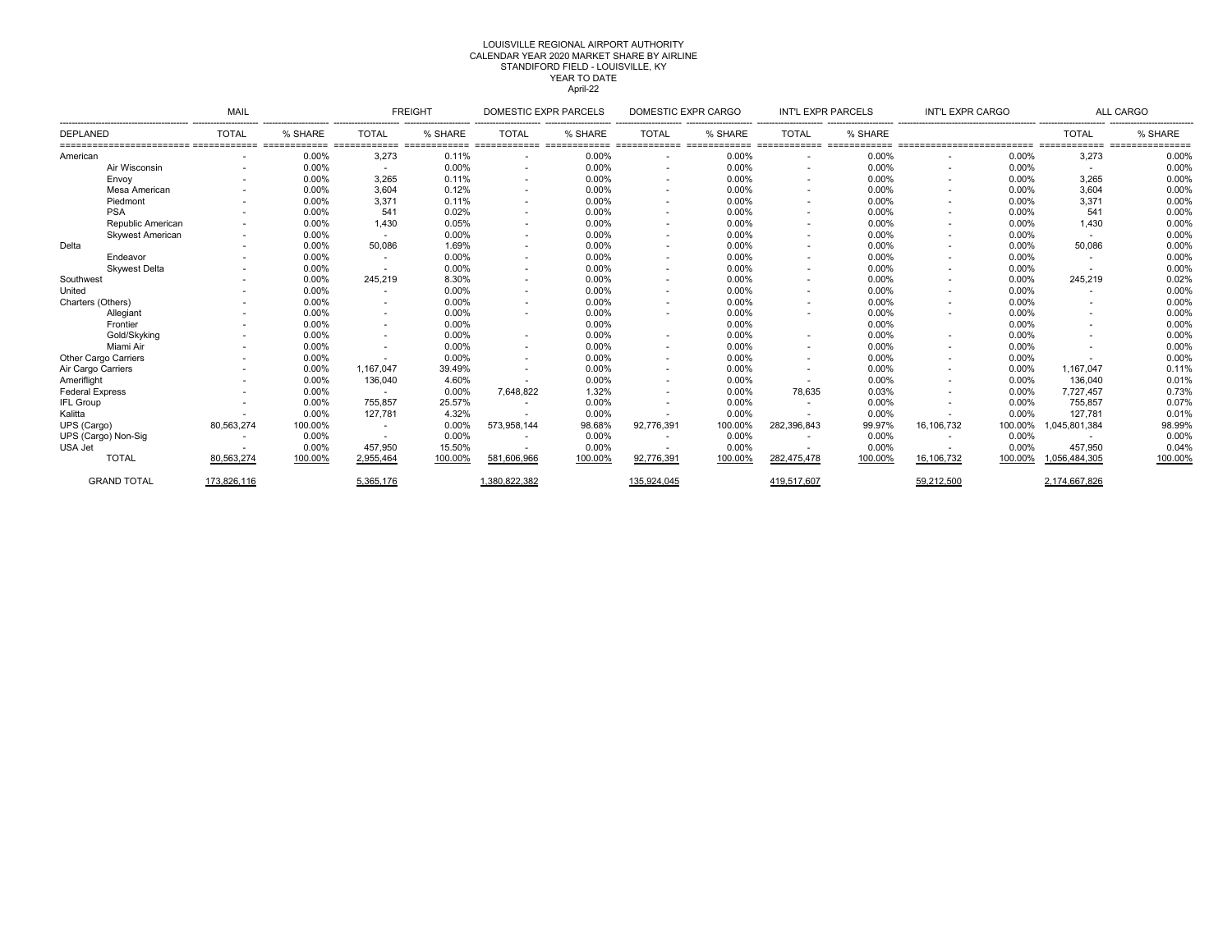#### LOUISVILLE REGIONAL AIRPORT AUTHORITY April-22 CALENDAR YEAR 2020 MARKET SHARE BY AIRLINE STANDIFORD FIELD - LOUISVILLE, KY YEAR TO DATE

|                         | MAIL         |         |              | <b>FREIGHT</b> | DOMESTIC EXPR PARCELS |         | DOMESTIC EXPR CARGO      |         | INT'L EXPR PARCELS       |         | INT'L EXPR CARGO |         |               | <b>ALL CARGO</b>   |
|-------------------------|--------------|---------|--------------|----------------|-----------------------|---------|--------------------------|---------|--------------------------|---------|------------------|---------|---------------|--------------------|
| <b>DEPLANED</b>         | <b>TOTAL</b> | % SHARE | <b>TOTAL</b> | % SHARE        | <b>TOTAL</b>          | % SHARE | <b>TOTAL</b>             | % SHARE | <b>TOTAL</b>             | % SHARE |                  |         | <b>TOTAL</b>  | % SHARE<br>------- |
| American                |              | 0.00%   | 3,273        | 0.11%          |                       | 0.00%   | ٠                        | 0.00%   |                          | 0.00%   |                  | 0.00%   | 3,273         | 0.00%              |
| Air Wisconsin           |              | 0.00%   |              | 0.00%          |                       | 0.00%   | ٠                        | 0.00%   |                          | 0.00%   |                  | 0.00%   | <b>.</b>      | 0.00%              |
| Envoy                   |              | 0.00%   | 3.265        | 0.11%          |                       | 0.00%   | $\sim$                   | 0.00%   |                          | 0.00%   |                  | 0.00%   | 3,265         | 0.00%              |
| Mesa American           |              | 0.00%   | 3.604        | 0.12%          |                       | 0.00%   | ۰.                       | 0.00%   | $\overline{\phantom{a}}$ | 0.00%   |                  | 0.00%   | 3,604         | 0.00%              |
| Piedmont                |              | 0.00%   | 3,371        | 0.11%          |                       | 0.00%   | $\sim$                   | 0.00%   | $\overline{\phantom{a}}$ | 0.00%   |                  | 0.00%   | 3,371         | 0.00%              |
| <b>PSA</b>              |              | 0.00%   | 541          | 0.02%          |                       | 0.00%   | ٠                        | 0.00%   |                          | 0.00%   |                  | 0.00%   | 541           | 0.00%              |
| Republic American       |              | 0.00%   | 1.430        | 0.05%          | $\sim$                | 0.00%   | $\overline{\phantom{a}}$ | 0.00%   |                          | 0.00%   |                  | 0.00%   | 1,430         | 0.00%              |
| <b>Skywest American</b> |              | 0.00%   |              | 0.00%          | ٠                     | 0.00%   | $\overline{\phantom{a}}$ | 0.00%   |                          | 0.00%   |                  | 0.00%   | $\sim$        | 0.00%              |
| Delta                   |              | 0.00%   | 50.086       | 1.69%          |                       | 0.00%   | ٠                        | 0.00%   |                          | 0.00%   |                  | 0.00%   | 50,086        | 0.00%              |
| Endeavor                |              | 0.00%   |              | 0.00%          |                       | 0.00%   | ٠                        | 0.00%   |                          | 0.00%   |                  | 0.00%   |               | 0.00%              |
| <b>Skywest Delta</b>    |              | 0.00%   |              | 0.00%          |                       | 0.00%   | ٠                        | 0.00%   |                          | 0.00%   |                  | 0.00%   | $\sim$        | 0.00%              |
| Southwest               |              | 0.00%   | 245,219      | 8.30%          |                       | 0.00%   | ٠                        | 0.00%   |                          | 0.00%   |                  | 0.00%   | 245,219       | 0.02%              |
| United                  |              | 0.00%   |              | 0.00%          |                       | 0.00%   | ٠                        | 0.00%   |                          | 0.00%   |                  | 0.00%   |               | 0.00%              |
| Charters (Others)       |              | 0.00%   |              | 0.00%          |                       | 0.00%   | $\sim$                   | 0.00%   | $\overline{\phantom{a}}$ | 0.00%   |                  | 0.00%   |               | 0.00%              |
| Allegiant               |              | 0.00%   |              | 0.00%          |                       | 0.00%   | ٠                        | 0.00%   |                          | 0.00%   |                  | 0.00%   |               | 0.00%              |
| Frontier                |              | 0.00%   |              | 0.00%          |                       | 0.00%   |                          | 0.00%   |                          | 0.00%   |                  | 0.00%   |               | 0.00%              |
| Gold/Skyking            |              | 0.00%   |              | 0.00%          | ۰.                    | 0.00%   | ٠                        | 0.00%   | $\sim$                   | 0.00%   |                  | 0.00%   |               | 0.00%              |
| Miami Air               |              | 0.00%   |              | 0.00%          | ٠                     | 0.00%   | ٠                        | 0.00%   |                          | 0.00%   |                  | 0.00%   |               | 0.00%              |
| Other Cargo Carriers    |              | 0.00%   |              | 0.00%          |                       | 0.00%   | ٠                        | 0.00%   |                          | 0.00%   |                  | 0.00%   |               | 0.00%              |
| Air Cargo Carriers      |              | 0.00%   | 1.167.047    | 39.49%         |                       | 0.00%   | ٠                        | 0.00%   |                          | 0.00%   |                  | 0.00%   | 1,167,047     | 0.11%              |
| Amerifliaht             |              | 0.00%   | 136,040      | 4.60%          |                       | 0.00%   | $\overline{\phantom{a}}$ | 0.00%   |                          | 0.00%   |                  | 0.00%   | 136,040       | 0.01%              |
| <b>Federal Express</b>  |              | 0.00%   |              | 0.00%          | 7,648,822             | 1.32%   | $\sim$                   | 0.00%   | 78,635                   | 0.03%   |                  | 0.00%   | 7,727,457     | 0.73%              |
| <b>IFL Group</b>        |              | 0.00%   | 755,857      | 25.57%         |                       | 0.00%   | ٠                        | 0.00%   |                          | 0.00%   |                  | 0.00%   | 755,857       | 0.07%              |
| Kalitta                 |              | 0.00%   | 127.781      | 4.32%          |                       | 0.00%   | $\overline{\phantom{a}}$ | 0.00%   |                          | 0.00%   |                  | 0.00%   | 127.781       | 0.01%              |
| UPS (Cargo)             | 80,563,274   | 100.00% |              | 0.00%          | 573,958,144           | 98.68%  | 92,776,391               | 100.00% | 282,396,843              | 99.97%  | 16,106,732       | 100.00% | 1,045,801,384 | 98.99%             |
| UPS (Cargo) Non-Sig     |              | 0.00%   |              | 0.00%          |                       | 0.00%   |                          | 0.00%   |                          | 0.00%   |                  | 0.00%   |               | 0.00%              |
| USA Jet                 |              | 0.00%   | 457,950      | 15.50%         |                       | 0.00%   |                          | 0.00%   |                          | 0.00%   |                  | 0.00%   | 457.950       | 0.04%              |
| <b>TOTAL</b>            | 80,563,274   | 100.00% | 2,955,464    | 100.00%        | 581.606.966           | 100.00% | 92.776.391               | 100.00% | 282.475.478              | 100.00% | 16.106.732       | 100.00% | 1,056,484,305 | 100.00%            |
| <b>GRAND TOTAL</b>      | 173.826.116  |         | 5,365,176    |                | 1.380.822.382         |         | 135,924,045              |         | 419.517.607              |         | 59,212,500       |         | 2.174.667.826 |                    |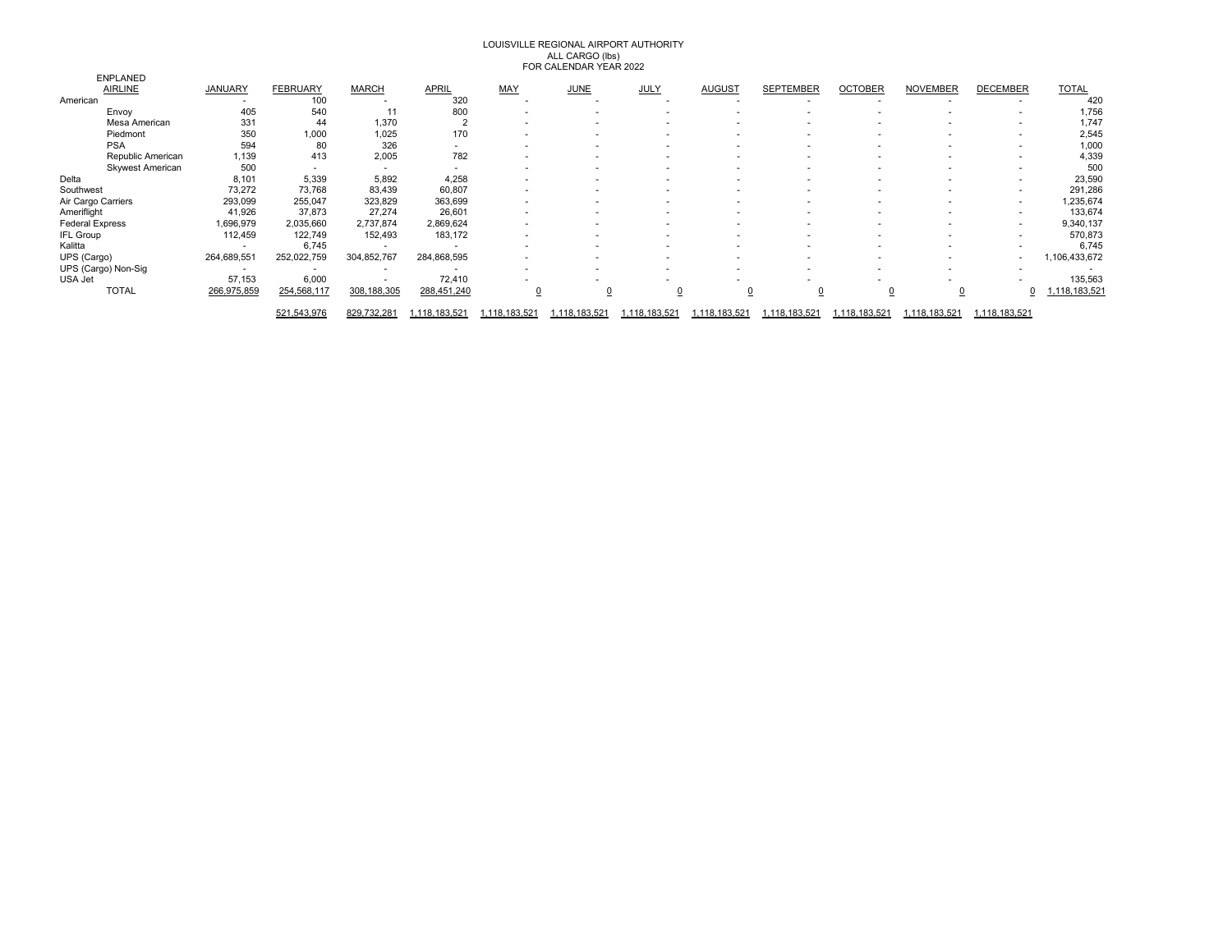# LOUISVILLE REGIONAL AIRPORT AUTHORITY ALL CARGO (lbs) FOR CALENDAR YEAR 2022

|                        |                         |                |                          |               |                          |             | , OK OF RELINDING TERM REVEL |             |                          |                          |                |                          |                          |              |
|------------------------|-------------------------|----------------|--------------------------|---------------|--------------------------|-------------|------------------------------|-------------|--------------------------|--------------------------|----------------|--------------------------|--------------------------|--------------|
|                        | <b>ENPLANED</b>         |                |                          |               |                          |             |                              |             |                          |                          |                |                          |                          |              |
|                        | <b>AIRLINE</b>          | <b>JANUARY</b> | <b>FEBRUARY</b>          | <b>MARCH</b>  | <b>APRIL</b>             | MAY         | <b>JUNE</b>                  | <b>JULY</b> | <b>AUGUST</b>            | <b>SEPTEMBER</b>         | <b>OCTOBER</b> | <b>NOVEMBER</b>          | <b>DECEMBER</b>          | <b>TOTAL</b> |
| American               |                         |                | 100                      |               | 320                      |             |                              |             |                          |                          |                |                          |                          | 420          |
|                        | Envoy                   | 405            | 540                      | 11            | 800                      |             |                              |             |                          |                          |                |                          | $\overline{\phantom{a}}$ | 1,756        |
|                        | Mesa American           | 331            | 44                       | 1,370         |                          |             |                              |             | ۰                        |                          | ۰              |                          |                          | 1,747        |
|                        | Piedmont                | 350            | 1,000                    | 1,025         | 170                      |             |                              |             |                          |                          | ۰              |                          | ٠                        | 2,545        |
|                        | <b>PSA</b>              | 594            | 80                       | 326           | $\overline{\phantom{a}}$ |             |                              |             |                          |                          |                |                          | $\overline{\phantom{a}}$ | 1,000        |
|                        | Republic American       | 1,139          | 413                      | 2,005         | 782                      |             |                              |             | ٠                        |                          | ۰              |                          | ٠                        | 4,339        |
|                        | <b>Skywest American</b> | 500            | $\overline{\phantom{a}}$ | $\sim$        | $\overline{\phantom{a}}$ |             |                              |             | ۰                        |                          | ۰              |                          |                          | 500          |
| Delta                  |                         | 8,101          | 5,339                    | 5,892         | 4,258                    |             |                              |             | $\overline{\phantom{a}}$ |                          |                |                          | $\overline{\phantom{a}}$ | 23,590       |
| Southwest              |                         | 73,272         | 73,768                   | 83,439        | 60,807                   |             |                              |             |                          |                          |                |                          | ۰                        | 291,286      |
| Air Cargo Carriers     |                         | 293,099        | 255,047                  | 323,829       | 363,699                  | $\sim$      |                              |             | $\overline{\phantom{a}}$ |                          | ۰              |                          | ٠                        | 1,235,674    |
| Ameriflight            |                         | 41,926         | 37,873                   | 27,274        | 26,601                   |             |                              |             |                          |                          |                |                          |                          | 133,674      |
| <b>Federal Express</b> |                         | ,696,979       | 2,035,660                | 2,737,874     | 2,869,624                |             |                              |             |                          |                          |                |                          | ٠                        | 9,340,137    |
| <b>IFL Group</b>       |                         | 112,459        | 122,749                  | 152,493       | 183,172                  |             |                              |             | $\overline{\phantom{a}}$ |                          |                |                          | ٠                        | 570,873      |
| Kalitta                |                         |                | 6,745                    |               |                          |             |                              |             |                          |                          |                |                          |                          | 6,745        |
| UPS (Cargo)            |                         | 264,689,551    | 252,022,759              | 304,852,767   | 284,868,595              |             |                              |             | ۰                        | $\overline{\phantom{a}}$ | ۰              | $\overline{\phantom{a}}$ | ٠                        | ,106,433,672 |
| UPS (Cargo) Non-Sig    |                         |                |                          | $\sim$        |                          |             |                              |             | ۰                        |                          |                |                          |                          |              |
| USA Jet                |                         | 57,153         | 6,000                    |               | 72,410                   |             |                              |             |                          |                          |                |                          |                          | 135,563      |
|                        | <b>TOTAL</b>            | 266,975,859    | 254,568,117              | 308, 188, 305 | 288,451,240              |             |                              |             |                          | <u>0</u>                 |                |                          |                          | 118,183,521  |
|                        |                         |                | 521,543,976              | 829,732,281   | 118,183,521              | 118,183,521 | 118,183,521                  | 118,183,521 | ,118,183,521             | 118,183,521              | ,118,183,521   | ,118,183,521             | 1,118,183,521            |              |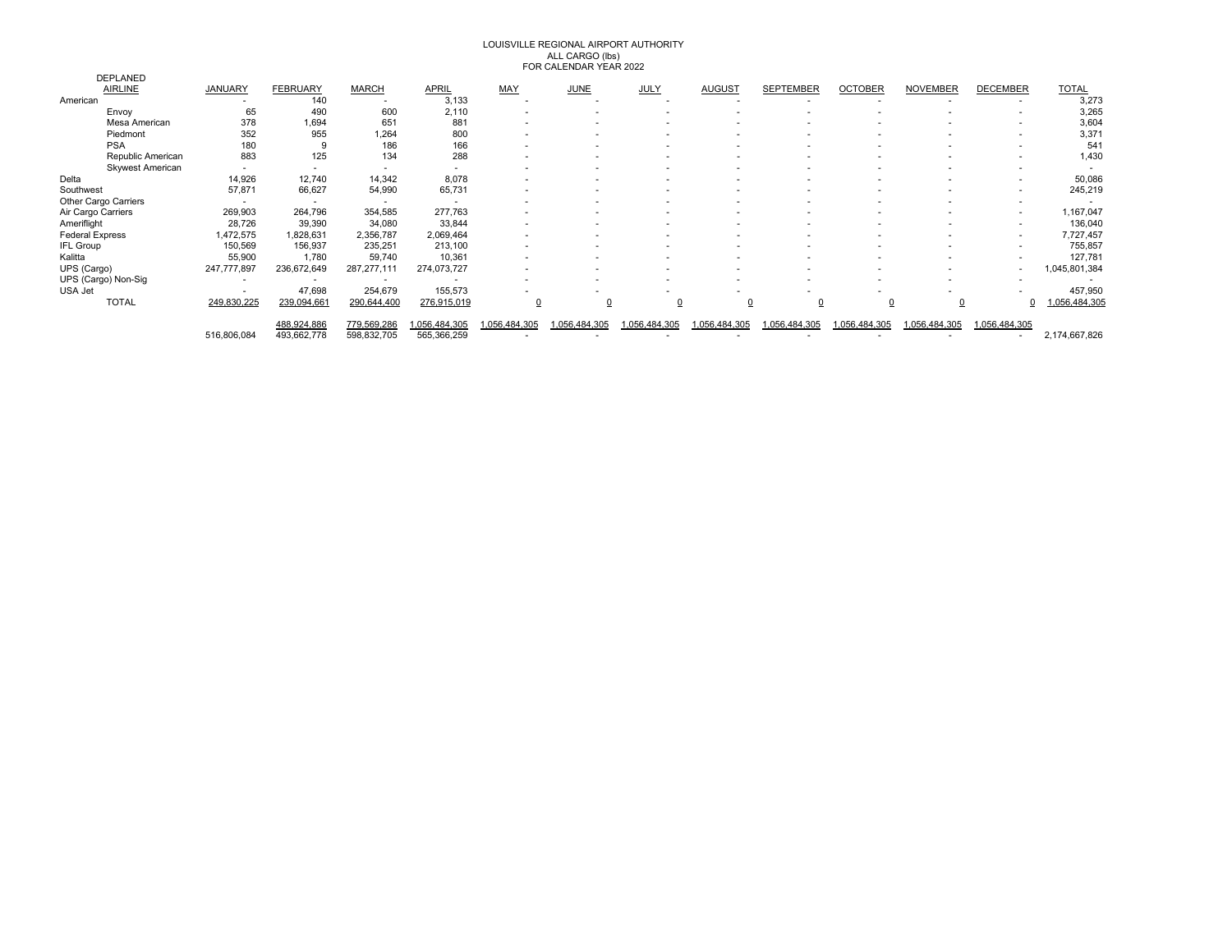# LOUISVILLE REGIONAL AIRPORT AUTHORITY ALL CARGO (lbs) FOR CALENDAR YEAR 2022

|                         |                          |                 |                          |              |              | $101101$ television to the think $2022$ |                |                          |                  |                |                 |                          |               |
|-------------------------|--------------------------|-----------------|--------------------------|--------------|--------------|-----------------------------------------|----------------|--------------------------|------------------|----------------|-----------------|--------------------------|---------------|
| <b>DEPLANED</b>         |                          |                 |                          |              |              |                                         |                |                          |                  |                |                 |                          |               |
| <b>AIRLINE</b>          | JANUARY                  | <b>FEBRUARY</b> | <b>MARCH</b>             | <b>APRIL</b> | <b>MAY</b>   | <b>JUNE</b>                             | <b>JULY</b>    | <b>AUGUST</b>            | <b>SEPTEMBER</b> | <b>OCTOBER</b> | <b>NOVEMBER</b> | <b>DECEMBER</b>          | <b>TOTAL</b>  |
| American                |                          | 140             |                          | 3,133        |              |                                         |                |                          |                  |                |                 |                          | 3,273         |
| Envoy                   | 65                       | 490             | 600                      | 2,110        |              |                                         |                |                          |                  |                |                 |                          | 3,265         |
| Mesa American           | 378                      | 1,694           | 651                      | 881          |              |                                         |                |                          |                  |                |                 |                          | 3,604         |
| Piedmont                | 352                      | 955             | 1,264                    | 800          |              |                                         |                |                          |                  |                |                 |                          | 3,371         |
| <b>PSA</b>              | 180                      |                 | 186                      | 166          |              |                                         |                |                          |                  |                |                 |                          | 54            |
| Republic American       | 883                      | 125             | 134                      | 288          |              |                                         |                |                          |                  |                |                 |                          | 1,430         |
| <b>Skywest American</b> |                          |                 | $\overline{\phantom{a}}$ | $\sim$       |              |                                         |                |                          |                  |                |                 |                          |               |
| Delta                   | 14,926                   | 12,740          | 14,342                   | 8,078        |              | $\overline{\phantom{a}}$                |                | ۰                        |                  |                |                 |                          | 50,086        |
| Southwest               | 57,871                   | 66,627          | 54,990                   | 65,731       |              |                                         |                | ۰                        |                  |                |                 |                          | 245,219       |
| Other Cargo Carriers    |                          |                 |                          |              |              |                                         |                |                          |                  |                |                 |                          |               |
| Air Cargo Carriers      | 269,903                  | 264,796         | 354,585                  | 277,763      |              |                                         |                | ۰                        |                  |                |                 |                          | 1,167,047     |
| Ameriflight             | 28,726                   | 39,390          | 34,080                   | 33,844       |              | $\overline{\phantom{a}}$                | ۰              | $\overline{\phantom{a}}$ |                  |                |                 | $\overline{\phantom{a}}$ | 136,040       |
| <b>Federal Express</b>  | ,472,575                 | ,828,631        | 2,356,787                | 2,069,464    |              |                                         |                |                          |                  |                |                 | $\overline{\phantom{a}}$ | 7,727,457     |
| <b>IFL Group</b>        | 150,569                  | 156,937         | 235,251                  | 213,100      |              |                                         |                |                          |                  |                |                 |                          | 755,857       |
| Kalitta                 | 55,900                   | 1,780           | 59,740                   | 10,361       |              |                                         |                |                          |                  |                |                 |                          | 127,781       |
| UPS (Cargo)             | 247,777,897              | 236,672,649     | 287, 277, 111            | 274,073,727  |              |                                         |                |                          |                  |                |                 |                          | 045,801,384   |
| UPS (Cargo) Non-Sig     | $\overline{\phantom{a}}$ |                 |                          |              |              |                                         |                |                          |                  |                |                 |                          |               |
| USA Jet                 |                          | 47,698          | 254,679                  | 155,573      |              |                                         |                |                          |                  |                |                 |                          | 457,950       |
| <b>TOTAL</b>            | 249,830,225              | 239,094,661     | 290,644,400              | 276,915,019  |              |                                         | $\overline{0}$ |                          |                  |                | 0               |                          | .056,484,305  |
|                         |                          |                 |                          |              |              |                                         |                |                          |                  |                |                 |                          |               |
|                         |                          | 488,924,886     | 779,569,286              | .056,484,305 | ,056,484,305 | .056,484,305                            | .056,484,305   | .056,484,305             | .056,484,305     | 1,056,484,305  | .056,484,305    | 1,056,484,305            |               |
|                         | 516,806,084              | 493,662,778     | 598,832,705              | 565,366,259  |              |                                         |                |                          |                  |                |                 |                          | 2,174,667,826 |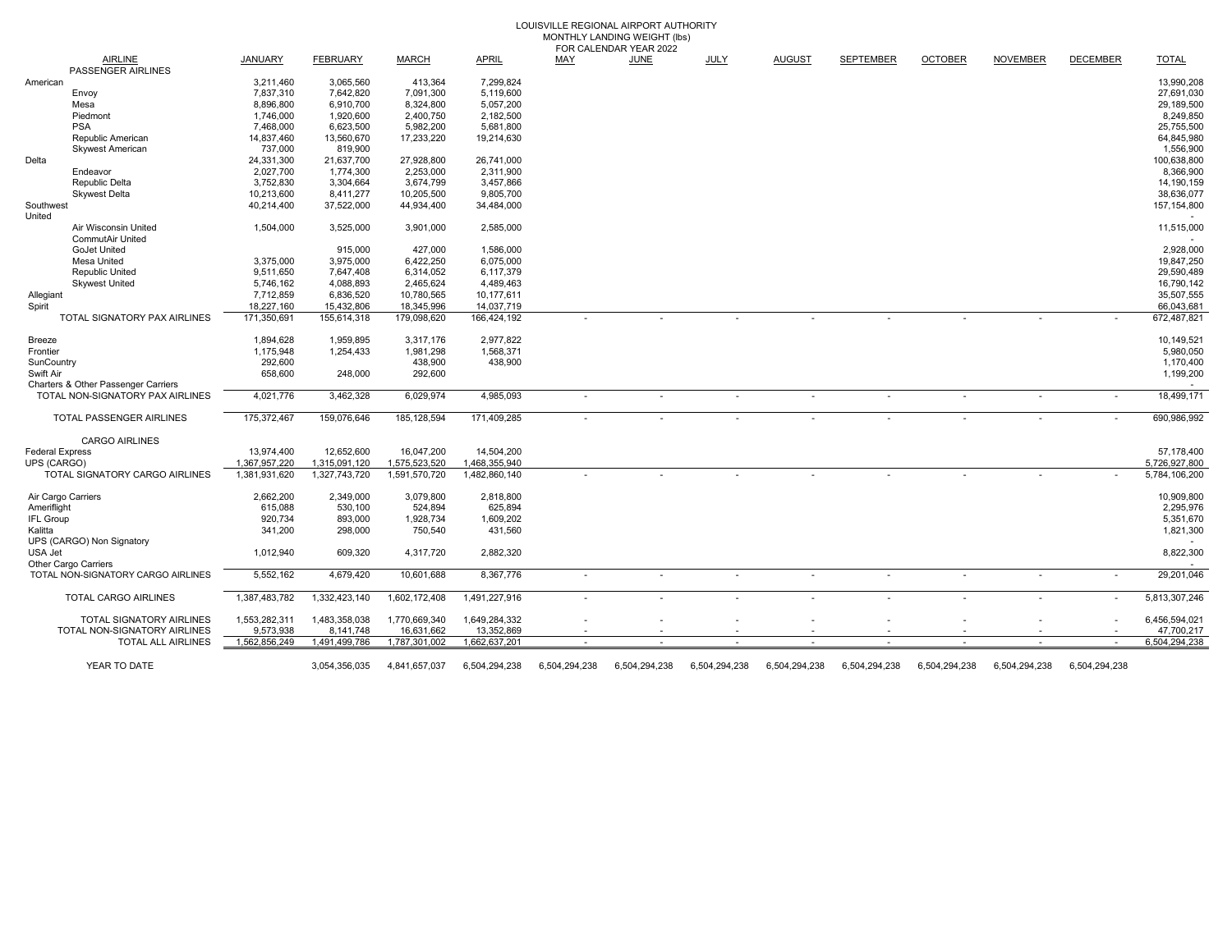| LOUISVILLE REGIONAL AIRPORT AUTHORITY |
|---------------------------------------|
| MONTHLY LANDING WEIGHT (lbs)          |
| FOR CALENDAR YEAR 2022                |

|                        | <b>AIRLINE</b><br>PASSENGER AIRLINES            | <b>JANUARY</b> | <b>FEBRUARY</b> | <b>MARCH</b>  | <b>APRIL</b>  | MAY                      | <b>JUNE</b>              | <b>JULY</b>   | <b>AUGUST</b>            | <b>SEPTEMBER</b>         | <b>OCTOBER</b>           | <b>NOVEMBER</b>          | <b>DECEMBER</b> | <b>TOTAL</b>  |
|------------------------|-------------------------------------------------|----------------|-----------------|---------------|---------------|--------------------------|--------------------------|---------------|--------------------------|--------------------------|--------------------------|--------------------------|-----------------|---------------|
| American               |                                                 | 3,211,460      | 3,065,560       | 413,364       | 7,299,824     |                          |                          |               |                          |                          |                          |                          |                 | 13,990,208    |
|                        | Envoy                                           | 7,837,310      | 7.642.820       | 7,091,300     | 5.119.600     |                          |                          |               |                          |                          |                          |                          |                 | 27.691.030    |
|                        | Mesa                                            | 8,896,800      | 6,910,700       | 8,324,800     | 5,057,200     |                          |                          |               |                          |                          |                          |                          |                 | 29,189,500    |
|                        | Piedmont                                        | 1,746,000      | 1,920,600       | 2,400,750     | 2,182,500     |                          |                          |               |                          |                          |                          |                          |                 | 8,249,850     |
|                        | <b>PSA</b>                                      | 7,468,000      | 6,623,500       | 5,982,200     | 5,681,800     |                          |                          |               |                          |                          |                          |                          |                 | 25,755,500    |
|                        | Republic American                               | 14,837,460     | 13,560,670      | 17,233,220    | 19,214,630    |                          |                          |               |                          |                          |                          |                          |                 | 64,845,980    |
|                        | <b>Skywest American</b>                         | 737,000        | 819,900         |               |               |                          |                          |               |                          |                          |                          |                          |                 | 1,556,900     |
| Delta                  |                                                 | 24,331,300     |                 | 27,928,800    | 26,741,000    |                          |                          |               |                          |                          |                          |                          |                 | 100,638,800   |
|                        |                                                 |                | 21,637,700      |               |               |                          |                          |               |                          |                          |                          |                          |                 |               |
|                        | Endeavor                                        | 2,027,700      | 1,774,300       | 2,253,000     | 2,311,900     |                          |                          |               |                          |                          |                          |                          |                 | 8,366,900     |
|                        | Republic Delta                                  | 3,752,830      | 3,304,664       | 3,674,799     | 3,457,866     |                          |                          |               |                          |                          |                          |                          |                 | 14,190,159    |
|                        | <b>Skwest Delta</b>                             | 10,213,600     | 8,411,277       | 10,205,500    | 9,805,700     |                          |                          |               |                          |                          |                          |                          |                 | 38,636,077    |
| Southwest              |                                                 | 40,214,400     | 37,522,000      | 44,934,400    | 34,484,000    |                          |                          |               |                          |                          |                          |                          |                 | 157, 154, 800 |
| United                 |                                                 |                |                 |               |               |                          |                          |               |                          |                          |                          |                          |                 |               |
|                        | Air Wisconsin United<br><b>CommutAir United</b> | 1,504,000      | 3,525,000       | 3,901,000     | 2,585,000     |                          |                          |               |                          |                          |                          |                          |                 | 11,515,000    |
|                        | <b>GoJet United</b>                             |                | 915,000         | 427,000       | 1,586,000     |                          |                          |               |                          |                          |                          |                          |                 | 2,928,000     |
|                        | Mesa United                                     | 3,375,000      | 3,975,000       | 6,422,250     | 6,075,000     |                          |                          |               |                          |                          |                          |                          |                 | 19,847,250    |
|                        | <b>Republic United</b>                          | 9,511,650      | 7,647,408       | 6,314,052     | 6,117,379     |                          |                          |               |                          |                          |                          |                          |                 | 29,590,489    |
|                        | <b>Skywest United</b>                           | 5,746,162      | 4,088,893       | 2,465,624     | 4,489,463     |                          |                          |               |                          |                          |                          |                          |                 | 16,790,142    |
| Allegiant              |                                                 | 7,712,859      | 6,836,520       | 10,780,565    | 10,177,611    |                          |                          |               |                          |                          |                          |                          |                 | 35,507,555    |
|                        |                                                 | 18,227,160     | 15,432,806      | 18,345,996    | 14.037.719    |                          |                          |               |                          |                          |                          |                          |                 | 66,043,681    |
| Spirit                 | TOTAL SIGNATORY PAX AIRLINES                    | 171,350,691    |                 | 179,098,620   |               |                          |                          |               |                          |                          |                          |                          |                 | 672,487,821   |
|                        |                                                 |                | 155,614,318     |               | 166,424,192   |                          |                          |               |                          |                          |                          |                          |                 |               |
| Breeze                 |                                                 | 1,894,628      | 1,959,895       | 3,317,176     | 2,977,822     |                          |                          |               |                          |                          |                          |                          |                 | 10,149,521    |
| Frontier               |                                                 | 1,175,948      | 1,254,433       | 1,981,298     | 1,568,371     |                          |                          |               |                          |                          |                          |                          |                 | 5,980,050     |
| SunCountry             |                                                 | 292,600        |                 | 438,900       | 438,900       |                          |                          |               |                          |                          |                          |                          |                 | 1,170,400     |
| Swift Air              |                                                 | 658,600        | 248,000         | 292,600       |               |                          |                          |               |                          |                          |                          |                          |                 | 1,199,200     |
|                        | Charters & Other Passenger Carriers             |                |                 |               |               |                          |                          |               |                          |                          |                          |                          |                 |               |
|                        | TOTAL NON-SIGNATORY PAX AIRLINES                | 4,021,776      | 3,462,328       | 6,029,974     | 4,985,093     | $\overline{\phantom{a}}$ | $\overline{\phantom{a}}$ |               | $\blacksquare$           | $\blacksquare$           | $\overline{\phantom{a}}$ | $\overline{\phantom{a}}$ |                 | 18,499,171    |
|                        |                                                 |                |                 |               |               |                          |                          |               |                          |                          |                          |                          |                 |               |
|                        | TOTAL PASSENGER AIRLINES                        | 175,372,467    | 159,076,646     | 185, 128, 594 | 171,409,285   |                          |                          |               |                          |                          |                          |                          |                 | 690,986,992   |
|                        | <b>CARGO AIRLINES</b>                           |                |                 |               |               |                          |                          |               |                          |                          |                          |                          |                 |               |
| <b>Federal Express</b> |                                                 | 13,974,400     | 12,652,600      | 16,047,200    | 14,504,200    |                          |                          |               |                          |                          |                          |                          |                 | 57,178,400    |
| UPS (CARGO)            |                                                 | 1,367,957,220  | 1,315,091,120   | 1,575,523,520 | 1,468,355,940 |                          |                          |               |                          |                          |                          |                          |                 | 5,726,927,800 |
|                        | TOTAL SIGNATORY CARGO AIRLINES                  | 1,381,931,620  | 1,327,743,720   | 1,591,570,720 | 1,482,860,140 |                          |                          |               |                          |                          |                          |                          |                 | 5,784,106,200 |
| Air Cargo Carriers     |                                                 | 2,662,200      | 2,349,000       | 3,079,800     | 2,818,800     |                          |                          |               |                          |                          |                          |                          |                 | 10,909,800    |
| Ameriflight            |                                                 | 615,088        | 530,100         | 524,894       | 625,894       |                          |                          |               |                          |                          |                          |                          |                 | 2,295,976     |
| IFL Group              |                                                 | 920,734        | 893,000         | 1,928,734     | 1,609,202     |                          |                          |               |                          |                          |                          |                          |                 | 5,351,670     |
| Kalitta                |                                                 | 341,200        | 298,000         | 750,540       | 431,560       |                          |                          |               |                          |                          |                          |                          |                 | 1,821,300     |
|                        | UPS (CARGO) Non Signatory                       |                |                 |               |               |                          |                          |               |                          |                          |                          |                          |                 |               |
| USA Jet                |                                                 | 1,012,940      | 609,320         | 4,317,720     | 2,882,320     |                          |                          |               |                          |                          |                          |                          |                 | 8,822,300     |
|                        | Other Cargo Carriers                            |                |                 |               |               |                          |                          |               |                          |                          |                          |                          |                 |               |
|                        |                                                 |                |                 |               |               |                          |                          |               |                          |                          |                          |                          |                 |               |
|                        | TOTAL NON-SIGNATORY CARGO AIRLINES              | 5,552,162      | 4,679,420       | 10,601,688    | 8,367,776     | $\overline{a}$           | $\sim$                   |               | $\overline{\phantom{a}}$ | $\overline{\phantom{a}}$ |                          |                          |                 | 29,201,046    |
|                        | TOTAL CARGO AIRLINES                            | 1,387,483,782  | 1,332,423,140   | 1,602,172,408 | 1,491,227,916 | $\overline{\phantom{a}}$ | $\overline{\phantom{a}}$ |               |                          | $\blacksquare$           |                          |                          |                 | 5,813,307,246 |
|                        |                                                 |                |                 |               |               |                          |                          |               |                          |                          |                          |                          |                 |               |
|                        | TOTAL SIGNATORY AIRLINES                        | 1,553,282,311  | 1,483,358,038   | 1,770,669,340 | 1,649,284,332 |                          |                          |               |                          |                          |                          |                          |                 | 6,456,594,021 |
|                        | TOTAL NON-SIGNATORY AIRLINES                    | 9,573,938      | 8.141.748       | 16,631,662    | 13,352,869    |                          |                          |               |                          |                          |                          |                          |                 | 47,700,217    |
|                        | TOTAL ALL AIRLINES                              | 1,562,856,249  | 1,491,499,786   | 1,787,301,002 | 1,662,637,201 |                          |                          |               |                          |                          |                          |                          |                 | 6,504,294,238 |
|                        | YEAR TO DATE                                    |                | 3,054,356,035   | 4,841,657,037 | 6,504,294,238 | 6,504,294,238            | 6,504,294,238            | 6,504,294,238 | 6,504,294,238            | 6,504,294,238            | 6,504,294,238            | 6,504,294,238            | 6,504,294,238   |               |